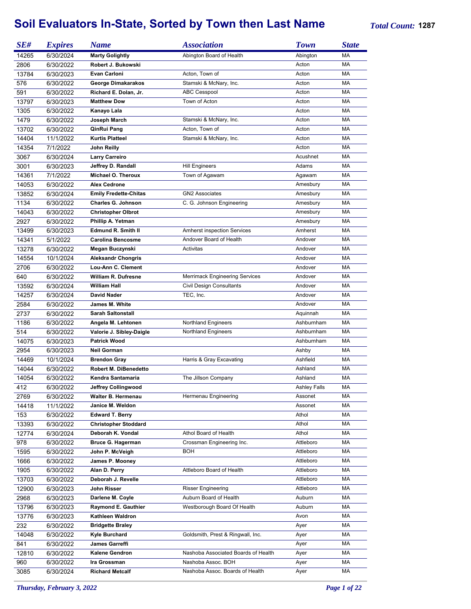## **Soil Evaluators In-State, Sorted by Town then Last Name** *Total Count:* **<sup>1287</sup>**

| SE#            | <b>Expires</b>         | <b>Name</b>                  | <b>Association</b>                    | <b>Town</b>         | <b>State</b> |
|----------------|------------------------|------------------------------|---------------------------------------|---------------------|--------------|
| 14265          | 6/30/2024              | <b>Marty Golightly</b>       | Abington Board of Health              | Abington            | МA           |
| 2806           | 6/30/2022              | Robert J. Bukowski           |                                       | Acton               | МA           |
| 13784          | 6/30/2023              | <b>Evan Carloni</b>          | Acton, Town of                        | Acton               | МA           |
| 576            | 6/30/2022              | George Dimakarakos           | Stamski & McNary, Inc.                | Acton               | МA           |
| 591            | 6/30/2022              | Richard E. Dolan, Jr.        | <b>ABC Cesspool</b>                   | Acton               | МA           |
| 13797          | 6/30/2023              | <b>Matthew Dow</b>           | Town of Acton                         | Acton               | МA           |
| 1305           | 6/30/2022              | Kanayo Lala                  |                                       | Acton               | МA           |
| 1479           | 6/30/2022              | Joseph March                 | Stamski & McNary, Inc.                | Acton               | МA           |
| 13702          | 6/30/2022              | QinRui Pang                  | Acton, Town of                        | Acton               | МA           |
| 14404          | 11/1/2022              | <b>Kurtis Platteel</b>       | Stamski & McNary, Inc.                | Acton               | МA           |
| 14354          | 7/1/2022               | John Reilly                  |                                       | Acton               | МA           |
|                |                        |                              |                                       | Acushnet            | МA           |
| 3067           | 6/30/2024              | <b>Larry Carreiro</b>        |                                       |                     |              |
| 3001           | 6/30/2023              | Jeffrey D. Randall           | <b>Hill Engineers</b>                 | Adams               | МA           |
| 14361          | 7/1/2022               | Michael O. Theroux           | Town of Agawam                        | Agawam              | МA           |
| 14053          | 6/30/2022              | <b>Alex Cedrone</b>          |                                       | Amesbury            | МA           |
| 13852          | 6/30/2024              | <b>Emily Fredette-Chitas</b> | <b>GN2 Associates</b>                 | Amesbury            | МA           |
| 1134           | 6/30/2022              | Charles G. Johnson           | C. G. Johnson Engineering             | Amesbury            | МA           |
| 14043          | 6/30/2022              | <b>Christopher Olbrot</b>    |                                       | Amesbury            | МA           |
| 2927           | 6/30/2022              | Phillip A. Yetman            |                                       | Amesbury            | МA           |
| 13499          | 6/30/2023              | <b>Edmund R. Smith II</b>    | <b>Amherst inspection Services</b>    | Amherst             | МA           |
| 14341          | 5/1/2022               | <b>Carolina Bencosme</b>     | Andover Board of Health               | Andover             | МA           |
| 13278          | 6/30/2022              | Megan Buczynski              | Activitas                             | Andover             | МA           |
| 14554          | 10/1/2024              | <b>Aleksandr Chongris</b>    |                                       | Andover             | МA           |
| 2706           | 6/30/2022              | Lou-Ann C. Clement           |                                       | Andover             | МA           |
| 640            | 6/30/2022              | <b>William R. Dufresne</b>   | <b>Merrimack Engineering Services</b> | Andover             | МA           |
| 13592          | 6/30/2024              | <b>William Hall</b>          | <b>Civil Design Consultants</b>       | Andover             | МA           |
| 14257          | 6/30/2024              | <b>David Nader</b>           | TEC, Inc.                             | Andover             | МA           |
| 2584           | 6/30/2022              | James M. White               |                                       | Andover             | МA           |
| 2737           | 6/30/2022              | <b>Sarah Saltonstall</b>     |                                       | Aquinnah            | МA           |
| 1186           | 6/30/2022              | Angela M. Lehtonen           | Northland Engineers                   | Ashburnham          | МA           |
| 514            | 6/30/2022              | Valorie J. Sibley-Daigle     | <b>Northland Engineers</b>            | Ashburnham          | МA           |
| 14075          | 6/30/2023              | <b>Patrick Wood</b>          |                                       | Ashburnham          | МA           |
| 2954           | 6/30/2023              | <b>Neil Gorman</b>           |                                       | Ashby               | МA           |
| 14469          | 10/1/2024              | <b>Brendon Gray</b>          | Harris & Gray Excavating              | Ashfield            | МA           |
| 14044          | 6/30/2022              | Robert M. DiBenedetto        |                                       | Ashland             | МA           |
| 14054          | 6/30/2022              | Kendra Santamaria            | The Jillson Company                   | Ashland             | MA           |
| 412            | 6/30/2022              | Jeffrey Collingwood          |                                       | <b>Ashley Falls</b> | MA           |
| 2769           | 6/30/2022              | <b>Walter B. Hermenau</b>    | Hermenau Engineering                  | Assonet             | МA           |
| 14418          | 11/1/2022              | Janice M. Weldon             |                                       | Assonet             | МA           |
| 153            | 6/30/2022              | <b>Edward T. Berry</b>       |                                       | Athol               | МA           |
|                |                        | <b>Christopher Stoddard</b>  |                                       | Athol               | МA           |
| 13393<br>12774 | 6/30/2022<br>6/30/2024 | Deborah K. Vondal            | Athol Board of Health                 | Athol               | МA           |
|                |                        |                              |                                       |                     |              |
| 978            | 6/30/2022              | <b>Bruce G. Hagerman</b>     | Crossman Engineering Inc.             | Attleboro           | МA           |
| 1595           | 6/30/2022              | John P. McVeigh              | BOH                                   | Attleboro           | МA           |
| 1666           | 6/30/2022              | James P. Mooney              |                                       | Attleboro           | МA           |
| 1905           | 6/30/2022              | Alan D. Perry                | Attleboro Board of Health             | Attleboro           | МA           |
| 13703          | 6/30/2022              | Deborah J. Revelle           |                                       | Attleboro           | МA           |
| 12900          | 6/30/2023              | John Risser                  | <b>Risser Engineering</b>             | Attleboro           | МA           |
| 2968           | 6/30/2023              | Darlene M. Coyle             | Auburn Board of Health                | Auburn              | МA           |
| 13796          | 6/30/2023              | Raymond E. Gauthier          | Westborough Board Of Health           | Auburn              | МA           |
| 13776          | 6/30/2023              | Kathleen Waldron             |                                       | Avon                | МA           |
| 232            | 6/30/2022              | <b>Bridgette Braley</b>      |                                       | Ayer                | МA           |
| 14048          | 6/30/2022              | Kyle Burchard                | Goldsmith, Prest & Ringwall, Inc.     | Ayer                | МA           |
| 841            | 6/30/2022              | James Garreffi               |                                       | Ayer                | МA           |
| 12810          | 6/30/2022              | Kalene Gendron               | Nashoba Associated Boards of Health   | Ayer                | МA           |
| 960            | 6/30/2022              | Ira Grossman                 | Nashoba Assoc. BOH                    | Ayer                | МA           |
| 3085           | 6/30/2024              | <b>Richard Metcalf</b>       | Nashoba Assoc. Boards of Health       | Ayer                | МA           |

*Thursday, February 3, 2022 Page 1 of 22*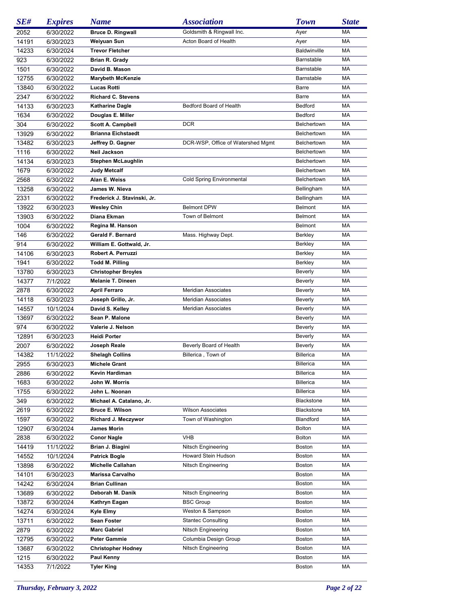| SE#   | <b>Expires</b> | <b>Name</b>                 | <i><b>Association</b></i>         | <b>Town</b>         | <b>State</b> |
|-------|----------------|-----------------------------|-----------------------------------|---------------------|--------------|
| 2052  | 6/30/2022      | <b>Bruce D. Ringwall</b>    | Goldsmith & Ringwall Inc.         | Ayer                | MA           |
| 14191 | 6/30/2023      | Weiyuan Sun                 | Acton Board of Health             | Ayer                | МA           |
| 14233 | 6/30/2024      | <b>Trevor Fletcher</b>      |                                   | <b>Baldwinville</b> | МA           |
| 923   | 6/30/2022      | Brian R. Grady              |                                   | Barnstable          | МA           |
| 1501  | 6/30/2022      | David B. Mason              |                                   | Barnstable          | МA           |
| 12755 | 6/30/2022      | <b>Marybeth McKenzie</b>    |                                   | Barnstable          | МA           |
| 13840 | 6/30/2022      | <b>Lucas Rotti</b>          |                                   | Barre               | МA           |
| 2347  | 6/30/2022      | <b>Richard C. Stevens</b>   |                                   | Barre               | МA           |
| 14133 | 6/30/2023      | <b>Katharine Dagle</b>      | Bedford Board of Health           | <b>Bedford</b>      | МA           |
| 1634  | 6/30/2022      | Douglas E. Miller           |                                   | Bedford             | МA           |
| 304   | 6/30/2022      | <b>Scott A. Campbell</b>    | <b>DCR</b>                        | Belchertown         | МA           |
| 13929 | 6/30/2022      | <b>Brianna Eichstaedt</b>   |                                   | Belchertown         | МA           |
| 13482 | 6/30/2023      | Jeffrey D. Gagner           | DCR-WSP, Office of Watershed Mgmt | Belchertown         | МA           |
| 1116  | 6/30/2022      | Neil Jackson                |                                   | Belchertown         | МA           |
| 14134 | 6/30/2023      | <b>Stephen McLaughlin</b>   |                                   | Belchertown         | МA           |
| 1679  | 6/30/2022      | Judy Metcalf                |                                   | Belchertown         | МA           |
| 2568  | 6/30/2022      | Alan E. Weiss               | <b>Cold Spring Environmental</b>  | Belchertown         | МA           |
| 13258 | 6/30/2022      | James W. Nieva              |                                   | Bellingham          | МA           |
|       |                |                             |                                   | Bellingham          | МA           |
| 2331  | 6/30/2022      | Frederick J. Stavinski, Jr. | <b>Belmont DPW</b>                | <b>Belmont</b>      | МA           |
| 13922 | 6/30/2023      | <b>Wesley Chin</b>          | Town of Belmont                   |                     |              |
| 13903 | 6/30/2022      | Diana Ekman                 |                                   | <b>Belmont</b>      | МA           |
| 1004  | 6/30/2022      | Regina M. Hanson            |                                   | Belmont             | МA           |
| 146   | 6/30/2022      | Gerald F. Bernard           | Mass. Highway Dept.               | Berkley             | МA           |
| 914   | 6/30/2022      | William E. Gottwald, Jr.    |                                   | Berkley             | МA           |
| 14106 | 6/30/2023      | Robert A. Perruzzi          |                                   | Berkley             | МA           |
| 1941  | 6/30/2022      | <b>Todd M. Pilling</b>      |                                   | Berkley             | МA           |
| 13780 | 6/30/2023      | <b>Christopher Broyles</b>  |                                   | <b>Beverly</b>      | МA           |
| 14377 | 7/1/2022       | <b>Melanie T. Dineen</b>    |                                   | Beverly             | МA           |
| 2878  | 6/30/2022      | <b>April Ferraro</b>        | <b>Meridian Associates</b>        | Beverly             | МA           |
| 14118 | 6/30/2023      | Joseph Grillo, Jr.          | <b>Meridian Associates</b>        | Beverly             | МA           |
| 14557 | 10/1/2024      | David S. Kelley             | <b>Meridian Associates</b>        | Beverly             | МA           |
| 13697 | 6/30/2022      | Sean P. Malone              |                                   | Beverly             | МA           |
| 974   | 6/30/2022      | Valerie J. Nelson           |                                   | Beverly             | МA           |
| 12891 | 6/30/2023      | <b>Heidi Porter</b>         |                                   | Beverly             | МA           |
| 2007  | 6/30/2022      | Joseph Reale                | Beverly Board of Health           | Beverly             | MA           |
| 14382 | 11/1/2022      | <b>Shelagh Collins</b>      | Billerica, Town of                | <b>Billerica</b>    | MA           |
| 2955  | 6/30/2023      | <b>Michele Grant</b>        |                                   | <b>Billerica</b>    | MA           |
| 2886  | 6/30/2022      | Kevin Hardiman              |                                   | <b>Billerica</b>    | MA           |
| 1683  | 6/30/2022      | John W. Morris              |                                   | <b>Billerica</b>    | MA           |
| 1755  | 6/30/2022      | John L. Noonan              |                                   | <b>Billerica</b>    | МA           |
| 349   | 6/30/2022      | Michael A. Catalano, Jr.    |                                   | Blackstone          | MA           |
| 2619  | 6/30/2022      | Bruce E. Wilson             | <b>Wilson Associates</b>          | <b>Blackstone</b>   | МA           |
| 1597  | 6/30/2022      | Richard J. Meczywor         | Town of Washington                | Blandford           | МA           |
| 12907 | 6/30/2024      | James Morin                 |                                   | <b>Bolton</b>       | МA           |
| 2838  | 6/30/2022      | <b>Conor Nagle</b>          | <b>VHB</b>                        | <b>Bolton</b>       | MA           |
| 14419 | 11/1/2022      | Brian J. Biagini            | Nitsch Engineering                | Boston              | МA           |
| 14552 | 10/1/2024      | <b>Patrick Bogle</b>        | <b>Howard Stein Hudson</b>        | Boston              | МA           |
| 13898 | 6/30/2022      | <b>Michelle Callahan</b>    | Nitsch Engineering                | Boston              | МA           |
| 14101 | 6/30/2023      | Marissa Carvalho            |                                   | Boston              | МA           |
| 14242 | 6/30/2024      | <b>Brian Cullinan</b>       |                                   | Boston              | МA           |
| 13689 | 6/30/2022      | Deborah M. Danik            | Nitsch Engineering                | Boston              | МA           |
| 13872 | 6/30/2024      | Kathryn Eagan               | <b>BSC Group</b>                  | Boston              | МA           |
| 14274 | 6/30/2024      | Kyle Elmy                   | Weston & Sampson                  | Boston              | МA           |
| 13711 | 6/30/2022      | Sean Foster                 | <b>Stantec Consulting</b>         | Boston              | МA           |
| 2879  | 6/30/2022      | <b>Marc Gabriel</b>         | Nitsch Engineering                | Boston              | МA           |
| 12795 | 6/30/2022      | Peter Gammie                | Columbia Design Group             | Boston              | МA           |
| 13687 | 6/30/2022      | <b>Christopher Hodney</b>   | Nitsch Engineering                | Boston              | МA           |
| 1215  | 6/30/2022      | Paul Kenny                  |                                   | <b>Boston</b>       | МA           |
| 14353 | 7/1/2022       | Tyler King                  |                                   | <b>Boston</b>       | МA           |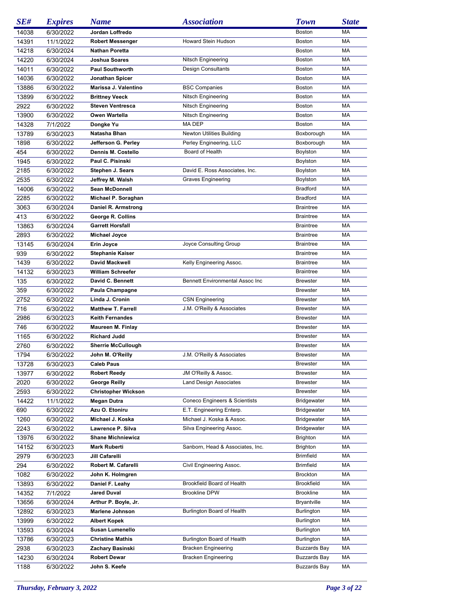| SE#           | <b>Expires</b>         | <b>Name</b>                      | <i><b>Association</b></i>                                | <b>Town</b>                                | <b>State</b> |
|---------------|------------------------|----------------------------------|----------------------------------------------------------|--------------------------------------------|--------------|
| 14038         | 6/30/2022              | Jordan Loffredo                  |                                                          | <b>Boston</b>                              | МA           |
| 14391         | 11/1/2022              | Robert Messenger                 | <b>Howard Stein Hudson</b>                               | <b>Boston</b>                              | МA           |
| 14218         | 6/30/2024              | <b>Nathan Poretta</b>            |                                                          | Boston                                     | МA           |
| 14220         | 6/30/2024              | Joshua Soares                    | Nitsch Engineering                                       | <b>Boston</b>                              | МA           |
| 14011         | 6/30/2022              | <b>Paul Southworth</b>           | <b>Design Consultants</b>                                | Boston                                     | МA           |
| 14036         | 6/30/2022              | Jonathan Spicer                  |                                                          | Boston                                     | MA           |
| 13886         | 6/30/2022              | Marissa J. Valentino             | <b>BSC Companies</b>                                     | Boston                                     | MA           |
| 13899         | 6/30/2022              | <b>Brittney Veeck</b>            | Nitsch Engineering                                       | <b>Boston</b>                              | МA           |
| 2922          | 6/30/2022              | <b>Steven Ventresca</b>          | Nitsch Engineering                                       | Boston                                     | МA           |
| 13900         | 6/30/2022              | Owen Wartella                    | Nitsch Engineering                                       | Boston                                     | MA           |
| 14328         | 7/1/2022               | Dongke Yu                        | MA DEP                                                   | <b>Boston</b>                              | MA           |
| 13789         | 6/30/2023              | Natasha Bhan                     | <b>Newton Utilities Building</b>                         | Boxborough                                 | МA           |
| 1898          | 6/30/2022              | Jefferson G. Perley              | Perley Engineering, LLC                                  | Boxborough                                 | МA           |
| 454           | 6/30/2022              | Dennis M. Costello               | Board of Health                                          | Boylston                                   | МA           |
| 1945          | 6/30/2022              | Paul C. Pisinski                 |                                                          | Boylston                                   | МA           |
| 2185          | 6/30/2022              | <b>Stephen J. Sears</b>          | David E. Ross Associates, Inc.                           | Boylston                                   | MA           |
| 2535          | 6/30/2022              | Jeffrey M. Walsh                 | <b>Graves Engineering</b>                                | Boylston                                   | MA           |
| 14006         | 6/30/2022              | <b>Sean McDonnell</b>            |                                                          | Bradford                                   | МA           |
| 2285          | 6/30/2022              | Michael P. Soraghan              |                                                          | Bradford                                   | МA           |
| 3063          | 6/30/2024              | Daniel R. Armstrong              |                                                          | <b>Braintree</b>                           | MA           |
| 413           | 6/30/2022              | George R. Collins                |                                                          | <b>Braintree</b>                           | MA           |
| 13863         | 6/30/2024              | <b>Garrett Horsfall</b>          |                                                          | <b>Braintree</b>                           | МA           |
| 2893          | 6/30/2022              | Michael Joyce                    |                                                          | <b>Braintree</b>                           | МA           |
| 13145         | 6/30/2024              | Erin Joyce                       | Joyce Consulting Group                                   | <b>Braintree</b>                           | MA           |
| 939           | 6/30/2022              | <b>Stephanie Kaiser</b>          |                                                          | <b>Braintree</b>                           | MA           |
| 1439          | 6/30/2022              | David Mackwell                   | Kelly Engineering Assoc.                                 | <b>Braintree</b>                           | MA           |
| 14132         | 6/30/2023              | <b>William Schreefer</b>         |                                                          | <b>Braintree</b>                           | MA           |
| 135           | 6/30/2022              | David C. Bennett                 | <b>Bennett Environmental Assoc Inc</b>                   | <b>Brewster</b>                            | МA           |
| 359           | 6/30/2022              | Paula Champagne                  |                                                          | <b>Brewster</b>                            | МA           |
| 2752          | 6/30/2022              | Linda J. Cronin                  | <b>CSN Engineering</b>                                   | <b>Brewster</b>                            | МA           |
| 716           | 6/30/2022              | <b>Matthew T. Farrell</b>        | J.M. O'Reilly & Associates                               | <b>Brewster</b>                            | MA           |
| 2986          | 6/30/2023              | <b>Keith Fernandes</b>           |                                                          | <b>Brewster</b>                            | МA           |
| 746           | 6/30/2022              | <b>Maureen M. Finlay</b>         |                                                          | <b>Brewster</b>                            | МA           |
| 1165          | 6/30/2022              | <b>Richard Judd</b>              |                                                          | <b>Brewster</b>                            | МA           |
| 2760          | 6/30/2022              | <b>Sherrie McCullough</b>        |                                                          | <b>Brewster</b>                            | MA           |
| 1794          | 6/30/2022              | John M. O'Reilly                 | J.M. O'Reilly & Associates                               | <b>Brewster</b>                            | МA           |
| 13728         | 6/30/2023              | <b>Caleb Paus</b>                |                                                          | <b>Brewster</b>                            | MA           |
| 13977         | 6/30/2022              | <b>Robert Reedy</b>              | JM O'Reilly & Assoc.                                     | <b>Brewster</b>                            | MA           |
| 2020          | 6/30/2022              | George Reilly                    | <b>Land Design Associates</b>                            | <b>Brewster</b>                            | МA           |
| 2593          | 6/30/2022              | <b>Christopher Wickson</b>       |                                                          | <b>Brewster</b>                            | МA           |
| 14422         | 11/1/2022              | Megan Dutra                      | Coneco Engineers & Scientists                            | <b>Bridgewater</b>                         | МA           |
| 690           | 6/30/2022              | Azu O. Etoniru                   | E.T. Engineering Enterp.                                 | <b>Bridgewater</b>                         | МA           |
| 1260          | 6/30/2022              | Michael J. Koska                 | Michael J. Koska & Assoc.                                | <b>Bridgewater</b>                         | МA           |
| 2243          | 6/30/2022              | Lawrence P. Silva                | Silva Engineering Assoc.                                 | <b>Bridgewater</b>                         | МA           |
| 13976         | 6/30/2022              | <b>Shane Michniewicz</b>         |                                                          | <b>Brighton</b>                            | МA           |
| 14152         | 6/30/2023              | Mark Ruberti                     | Sanborn, Head & Associates, Inc.                         | Brighton                                   | МA           |
| 2979          | 6/30/2023              | Jill Cafarelli                   |                                                          | <b>Brimfield</b>                           | МA           |
| 294           | 6/30/2022              | Robert M. Cafarelli              | Civil Engineering Assoc.                                 | <b>Brimfield</b>                           | МA           |
| 1082          | 6/30/2022              | John K. Holmgren                 |                                                          | <b>Brockton</b>                            | МA           |
| 13893         | 6/30/2022              | Daniel F. Leahy                  | Brookfield Board of Health                               | <b>Brookfield</b>                          | МA           |
| 14352         | 7/1/2022               | Jared Duval                      | <b>Brookline DPW</b>                                     | <b>Brookline</b>                           | МA           |
| 13656         | 6/30/2024              | Arthur P. Boyle, Jr.             |                                                          | <b>Bryantville</b>                         | МA           |
| 12892         | 6/30/2023              | <b>Marlene Johnson</b>           | Burlington Board of Health                               | Burlington                                 | МA           |
| 13999         | 6/30/2022              | Albert Kopek<br>Susan Lumenello  |                                                          | <b>Burlington</b>                          | МA           |
| 13593         | 6/30/2024              |                                  |                                                          | <b>Burlington</b>                          | МA           |
| 13786         | 6/30/2023              | <b>Christine Mathis</b>          | Burlington Board of Health                               | Burlington                                 | МA<br>МA     |
| 2938          | 6/30/2023              | Zachary Basinski<br>Robert Dewar | <b>Bracken Engineering</b><br><b>Bracken Engineering</b> | <b>Buzzards Bay</b><br><b>Buzzards Bay</b> | МA           |
| 14230<br>1188 | 6/30/2024<br>6/30/2022 | John S. Keefe                    |                                                          | <b>Buzzards Bay</b>                        | МA           |
|               |                        |                                  |                                                          |                                            |              |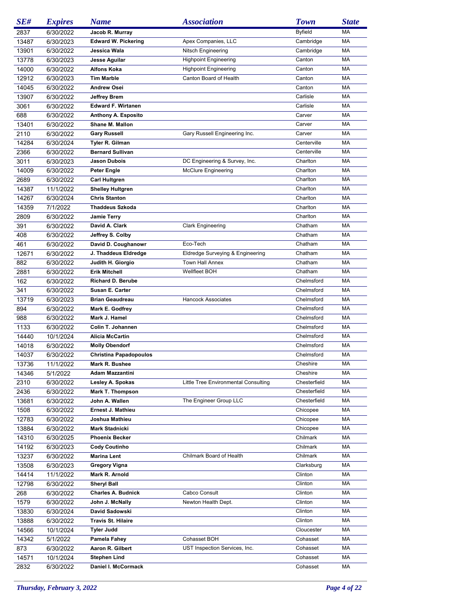| SE#           | <b>Expires</b> | <b>Name</b>                                | <b>Association</b>                   | <b>Town</b>          | <b>State</b> |
|---------------|----------------|--------------------------------------------|--------------------------------------|----------------------|--------------|
| 2837          | 6/30/2022      | Jacob R. Murray                            |                                      | <b>Byfield</b>       | МA           |
| 13487         | 6/30/2023      | <b>Edward W. Pickering</b>                 | Apex Companies, LLC                  | Cambridge            | МA           |
| 13901         | 6/30/2022      | Jessica Wala                               | Nitsch Engineering                   | Cambridge            | МA           |
| 13778         | 6/30/2023      | Jesse Aguilar                              | <b>Highpoint Engineering</b>         | Canton               | МA           |
| 14000         | 6/30/2022      | <b>Alfons Koka</b>                         | <b>Highpoint Engineering</b>         | Canton               | МA           |
| 12912         | 6/30/2023      | <b>Tim Marble</b>                          | Canton Board of Health               | Canton               | МA           |
| 14045         | 6/30/2022      | <b>Andrew Osei</b>                         |                                      | Canton               | МA           |
| 13907         | 6/30/2022      | <b>Jeffrey Brem</b>                        |                                      | Carlisle             | МA           |
| 3061          | 6/30/2022      | <b>Edward F. Wirtanen</b>                  |                                      | Carlisle             | МA           |
| 688           | 6/30/2022      | Anthony A. Esposito                        |                                      | Carver               | МA           |
| 13401         | 6/30/2022      | Shane M. Mallon                            |                                      | Carver               | МA           |
| 2110          | 6/30/2022      | <b>Gary Russell</b>                        | Gary Russell Engineering Inc.        | Carver               | МA           |
| 14284         | 6/30/2024      | Tyler R. Gilman                            |                                      | Centerville          | МA           |
| 2366          | 6/30/2022      | <b>Bernard Sullivan</b>                    |                                      | Centerville          | МA           |
| 3011          | 6/30/2023      | <b>Jason Dubois</b>                        | DC Engineering & Survey, Inc.        | Charlton             | МA           |
| 14009         | 6/30/2022      | <b>Peter Engle</b>                         | <b>McClure Engineering</b>           | Charlton             | МA           |
| 2689          | 6/30/2022      | <b>Carl Hultgren</b>                       |                                      | Charlton             | МA           |
| 14387         | 11/1/2022      | <b>Shelley Hultgren</b>                    |                                      | Charlton             | МA           |
| 14267         | 6/30/2024      | <b>Chris Stanton</b>                       |                                      | Charlton             | МA           |
| 14359         | 7/1/2022       | <b>Thaddeus Szkoda</b>                     |                                      | Charlton             | МA           |
| 2809          | 6/30/2022      | <b>Jamie Terry</b>                         |                                      | Charlton             | МA           |
| 391           | 6/30/2022      | David A. Clark                             | <b>Clark Engineering</b>             | Chatham              | МA           |
| 408           | 6/30/2022      | Jeffrey S. Colby                           |                                      | Chatham              | МA           |
| 461           | 6/30/2022      | David D. Coughanowr                        | Eco-Tech                             | Chatham              | МA           |
| 12671         | 6/30/2022      | J. Thaddeus Eldredge                       | Eldredge Surveying & Engineering     | Chatham              | МA           |
| 882           | 6/30/2022      | Judith H. Giorgio                          | Town Hall Annex                      | Chatham              | МA           |
| 2881          | 6/30/2022      | <b>Erik Mitchell</b>                       | Wellfleet BOH                        | Chatham              | МA           |
| 162           | 6/30/2022      | <b>Richard D. Berube</b>                   |                                      | Chelmsford           | МA           |
| 341           | 6/30/2022      | Susan E. Carter                            |                                      | Chelmsford           | МA           |
| 13719         | 6/30/2023      | <b>Brian Geaudreau</b>                     | <b>Hancock Associates</b>            | Chelmsford           | МA           |
| 894           | 6/30/2022      | Mark E. Godfrey                            |                                      | Chelmsford           | МA           |
| 988           | 6/30/2022      | Mark J. Hamel                              |                                      | Chelmsford           | МA           |
| 1133          | 6/30/2022      | Colin T. Johannen                          |                                      | Chelmsford           | МA           |
| 14440         | 10/1/2024      | <b>Alicia McCartin</b>                     |                                      | Chelmsford           | МA           |
| 14018         | 6/30/2022      | <b>Molly Obendorf</b>                      |                                      | Chelmsford           | MA           |
| 14037         | 6/30/2022      | <b>Christina Papadopoulos</b>              |                                      | Chelmsford           | МA           |
| 13736         | 11/1/2022      | Mark R. Bushee                             |                                      | Cheshire             | MA           |
| 14346         | 5/1/2022       | <b>Adam Mazzantini</b>                     |                                      | Cheshire             | МA           |
| 2310          | 6/30/2022      | Lesley A. Spokas                           | Little Tree Environmental Consulting | Chesterfield         | МA           |
| 2436          | 6/30/2022      | <b>Mark T. Thompson</b>                    |                                      | Chesterfield         | МA           |
| 13681         | 6/30/2022      | John A. Wallen                             | The Engineer Group LLC               | Chesterfield         | МA           |
| 1508          | 6/30/2022      | <b>Ernest J. Mathieu</b>                   |                                      | Chicopee             | МA           |
| 12783         | 6/30/2022      | Joshua Mathieu                             |                                      | Chicopee             | МA           |
| 13884         | 6/30/2022      | Mark Stadnicki                             |                                      | Chicopee             | МA           |
| 14310         | 6/30/2025      | <b>Phoenix Becker</b>                      |                                      | Chilmark             | МA           |
| 14192         | 6/30/2023      | <b>Cody Coutinho</b>                       |                                      | Chilmark             | МA           |
| 13237         | 6/30/2022      | Marina Lent                                | Chilmark Board of Health             | Chilmark             | МA           |
| 13508         | 6/30/2023      | Gregory Vigna                              |                                      | Clarksburg           | МA           |
| 14414         | 11/1/2022      | Mark R. Arnold                             |                                      | Clinton              | МA           |
| 12798         | 6/30/2022      | <b>Sheryl Ball</b>                         |                                      | Clinton              | МA           |
| 268           | 6/30/2022      | <b>Charles A. Budnick</b>                  | Cabco Consult                        | Clinton              | МA           |
| 1579          | 6/30/2022      | John J. McNally                            | Newton Health Dept.                  | Clinton              | МA           |
| 13830         | 6/30/2024      | David Sadowski                             |                                      | Clinton              | МA           |
| 13888         | 6/30/2022      | <b>Travis St. Hilaire</b>                  |                                      | Clinton              | МA           |
| 14566         | 10/1/2024      | <b>Tyler Judd</b>                          | Cohasset BOH                         | Cloucester           | МA           |
| 14342         | 5/1/2022       | Pamela Fahey<br>Aaron R. Gilbert           |                                      | Cohasset             | МA           |
| 873           | 6/30/2022      |                                            | UST Inspection Services, Inc.        | Cohasset<br>Cohasset | МA           |
| 14571<br>2832 | 10/1/2024      | <b>Stephen Lind</b><br>Daniel I. McCormack |                                      | Cohasset             | МA<br>МA     |
|               | 6/30/2022      |                                            |                                      |                      |              |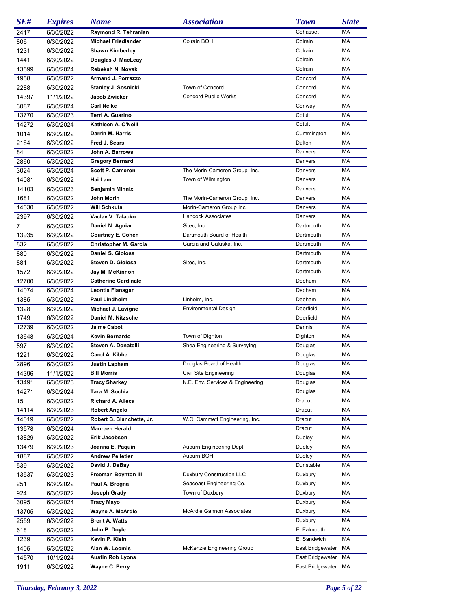| SE#   | <b>Expires</b> | <b>Name</b>                  | <b>Association</b>               | <b>Town</b>         | <b>State</b> |
|-------|----------------|------------------------------|----------------------------------|---------------------|--------------|
| 2417  | 6/30/2022      | Raymond R. Tehranian         |                                  | Cohasset            | MA           |
| 806   | 6/30/2022      | <b>Michael Friedlander</b>   | Colrain BOH                      | Colrain             | MA           |
| 1231  | 6/30/2022      | <b>Shawn Kimberley</b>       |                                  | Colrain             | MA           |
| 1441  | 6/30/2022      | Douglas J. MacLeay           |                                  | Colrain             | MA           |
| 13599 | 6/30/2024      | Rebekah N. Novak             |                                  | Colrain             | MA           |
| 1958  | 6/30/2022      | Armand J. Porrazzo           |                                  | Concord             | MA           |
| 2288  | 6/30/2022      | Stanley J. Sosnicki          | Town of Concord                  | Concord             | MA           |
| 14397 | 11/1/2022      | Jacob Zwicker                | <b>Concord Public Works</b>      | Concord             | MA           |
| 3087  | 6/30/2024      | <b>Carl Nelke</b>            |                                  | Conway              | MA           |
| 13770 | 6/30/2023      | Terri A. Guarino             |                                  | Cotuit              | MA           |
| 14272 | 6/30/2024      | Kathleen A. O'Neill          |                                  | Cotuit              | MA           |
| 1014  | 6/30/2022      | Darrin M. Harris             |                                  | Cummington          | MA           |
| 2184  | 6/30/2022      | Fred J. Sears                |                                  | Dalton              | MA           |
| 84    | 6/30/2022      | John A. Barrows              |                                  | Danvers             | MA           |
| 2860  | 6/30/2022      | <b>Gregory Bernard</b>       |                                  | Danvers             | MA           |
| 3024  | 6/30/2024      | <b>Scott P. Cameron</b>      | The Morin-Cameron Group, Inc.    | Danvers             | MA           |
| 14081 | 6/30/2022      | Hai Lam                      | Town of Wilmington               | Danvers             | MA           |
| 14103 | 6/30/2023      | <b>Benjamin Minnix</b>       |                                  | Danvers             | MA           |
| 1681  | 6/30/2022      | John Morin                   | The Morin-Cameron Group, Inc.    | Danvers             | MA           |
| 14030 | 6/30/2022      | Will Schkuta                 | Morin-Cameron Group Inc.         | Danvers             | MA           |
| 2397  | 6/30/2022      | Vaclav V. Talacko            | <b>Hancock Associates</b>        | Danvers             | MA           |
| 7     | 6/30/2022      | Daniel N. Aguiar             | Sitec, Inc.                      | Dartmouth           | MA           |
| 13935 | 6/30/2022      | <b>Courtney E. Cohen</b>     | Dartmouth Board of Health        | Dartmouth           | MA           |
| 832   | 6/30/2022      | <b>Christopher M. Garcia</b> | Garcia and Galuska, Inc.         | Dartmouth           | MA           |
| 880   | 6/30/2022      | Daniel S. Gioiosa            |                                  | Dartmouth           | MA           |
| 881   | 6/30/2022      | Steven D. Gioiosa            | Sitec, Inc.                      | Dartmouth           | MA           |
| 1572  |                | Jay M. McKinnon              |                                  | Dartmouth           | MA           |
|       | 6/30/2022      |                              |                                  |                     | MA           |
| 12700 | 6/30/2022      | <b>Catherine Cardinale</b>   |                                  | Dedham              | MA           |
| 14074 | 6/30/2024      | Leontia Flanagan             |                                  | Dedham              |              |
| 1385  | 6/30/2022      | <b>Paul Lindholm</b>         | Linholm, Inc.                    | Dedham              | MA           |
| 1328  | 6/30/2022      | Michael J. Lavigne           | <b>Environmental Design</b>      | Deerfield           | MA           |
| 1749  | 6/30/2022      | Daniel M. Nitzsche           |                                  | Deerfield           | MA           |
| 12739 | 6/30/2022      | <b>Jaime Cabot</b>           |                                  | Dennis              | MA           |
| 13648 | 6/30/2024      | Kevin Bernardo               | Town of Dighton                  | Dighton             | MA           |
| 597   | 6/30/2022      | Steven A. Donatelli          | Shea Engineering & Surveying     | Douglas             | MA           |
| 1221  | 6/30/2022      | Carol A. Kibbe               |                                  | Douglas             | MA           |
| 2896  | 6/30/2022      | <b>Justin Lapham</b>         | Douglas Board of Health          | Douglas             | MA           |
| 14396 | 11/1/2022      | <b>Bill Morris</b>           | Civil Site Engineering           | Douglas             | МA           |
| 13491 | 6/30/2023      | <b>Tracy Sharkey</b>         | N.E. Env. Services & Engineering | Douglas             | МA           |
| 14271 | 6/30/2024      | Tara M. Sochia               |                                  | Douglas             | МA           |
| 15    | 6/30/2022      | Richard A. Alleca            |                                  | Dracut              | МA           |
| 14114 | 6/30/2023      | <b>Robert Angelo</b>         |                                  | Dracut              | МA           |
| 14019 | 6/30/2022      | Robert B. Blanchette, Jr.    | W.C. Cammett Engineering, Inc.   | Dracut              | МA           |
| 13578 | 6/30/2024      | <b>Maureen Herald</b>        |                                  | Dracut              | МA           |
| 13829 | 6/30/2022      | Erik Jacobson                |                                  | Dudley              | МA           |
| 13479 | 6/30/2023      | Joanna E. Paquin             | Auburn Engineering Dept.         | Dudley              | МA           |
| 1887  | 6/30/2022      | <b>Andrew Pelletier</b>      | Auburn BOH                       | Dudley              | МA           |
| 539   | 6/30/2022      | David J. DeBay               |                                  | Dunstable           | МA           |
| 13537 | 6/30/2023      | <b>Freeman Boynton III</b>   | <b>Duxbury Construction LLC</b>  | Duxbury             | МA           |
| 251   | 6/30/2022      | Paul A. Brogna               | Seacoast Engineering Co.         | Duxbury             | МA           |
| 924   | 6/30/2022      | Joseph Grady                 | Town of Duxbury                  | Duxbury             | МA           |
| 3095  | 6/30/2024      | <b>Tracy Mayo</b>            |                                  | Duxbury             | МA           |
| 13705 | 6/30/2022      | Wayne A. McArdle             | McArdle Gannon Associates        | Duxbury             | МA           |
| 2559  | 6/30/2022      | <b>Brent A. Watts</b>        |                                  | Duxbury             | МA           |
| 618   | 6/30/2022      | John P. Doyle                |                                  | E. Falmouth         | МA           |
| 1239  | 6/30/2022      | Kevin P. Klein               |                                  | E. Sandwich         | МA           |
| 1405  | 6/30/2022      | Alan W. Loomis               | McKenzie Engineering Group       | East Bridgewater MA |              |
| 14570 | 10/1/2024      | <b>Austin Rob Lyons</b>      |                                  | East Bridgewater MA |              |
| 1911  | 6/30/2022      | Wayne C. Perry               |                                  | East Bridgewater MA |              |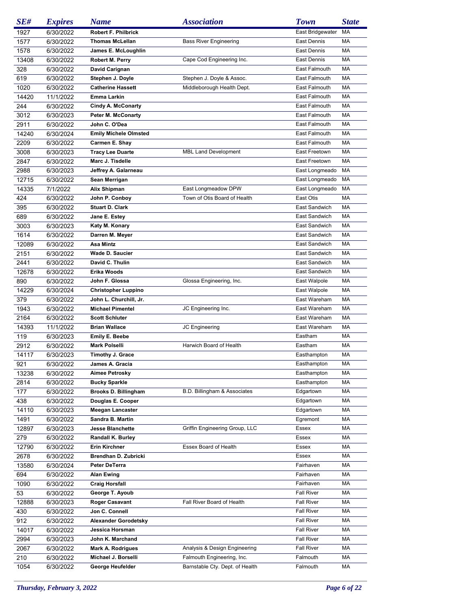| SE#   | <b>Expires</b> | <b>Name</b>                  | <b>Association</b>              | <b>Town</b>       | <b>State</b> |
|-------|----------------|------------------------------|---------------------------------|-------------------|--------------|
| 1927  | 6/30/2022      | <b>Robert F. Philbrick</b>   |                                 | East Bridgewater  | МA           |
| 1577  | 6/30/2022      | <b>Thomas McLellan</b>       | <b>Bass River Engineering</b>   | East Dennis       | MA           |
| 1578  | 6/30/2022      | James E. McLoughlin          |                                 | East Dennis       | MA           |
| 13408 | 6/30/2022      | Robert M. Perry              | Cape Cod Engineering Inc.       | East Dennis       | MA           |
| 328   | 6/30/2022      | David Carignan               |                                 | East Falmouth     | MA           |
| 619   | 6/30/2022      | Stephen J. Doyle             | Stephen J. Doyle & Assoc.       | East Falmouth     | MA           |
| 1020  | 6/30/2022      | <b>Catherine Hassett</b>     | Middleborough Health Dept.      | East Falmouth     | MA           |
| 14420 | 11/1/2022      | Emma Larkin                  |                                 | East Falmouth     | MA           |
| 244   | 6/30/2022      | <b>Cindy A. McConarty</b>    |                                 | East Falmouth     | MA           |
| 3012  | 6/30/2023      | <b>Peter M. McConarty</b>    |                                 | East Falmouth     | MA           |
| 2911  | 6/30/2022      | John C. O'Dea                |                                 | East Falmouth     | MA           |
| 14240 | 6/30/2024      | <b>Emily Michele Olmsted</b> |                                 | East Falmouth     | MA           |
| 2209  | 6/30/2022      | Carmen E. Shay               |                                 | East Falmouth     | MA           |
|       |                | <b>Tracy Lee Duarte</b>      | <b>MBL Land Development</b>     | East Freetown     | МA           |
| 3008  | 6/30/2023      |                              |                                 | East Freetown     | МA           |
| 2847  | 6/30/2022      | Marc J. Tisdelle             |                                 |                   | МA           |
| 2988  | 6/30/2023      | Jeffrey A. Galarneau         |                                 | East Longmeado    |              |
| 12715 | 6/30/2022      | Sean Merrigan                |                                 | East Longmeado    | MA           |
| 14335 | 7/1/2022       | Alix Shipman                 | East Longmeadow DPW             | East Longmeado    | МA           |
| 424   | 6/30/2022      | John P. Conboy               | Town of Otis Board of Health    | East Otis         | МA           |
| 395   | 6/30/2022      | <b>Stuart D. Clark</b>       |                                 | East Sandwich     | МA           |
| 689   | 6/30/2022      | Jane E. Estey                |                                 | East Sandwich     | MA           |
| 3003  | 6/30/2023      | Katy M. Konary               |                                 | East Sandwich     | МA           |
| 1614  | 6/30/2022      | Darren M. Meyer              |                                 | East Sandwich     | МA           |
| 12089 | 6/30/2022      | Asa Mintz                    |                                 | East Sandwich     | МA           |
| 2151  | 6/30/2022      | <b>Wade D. Saucier</b>       |                                 | East Sandwich     | МA           |
| 2441  | 6/30/2022      | David C. Thulin              |                                 | East Sandwich     | МA           |
| 12678 | 6/30/2022      | <b>Erika Woods</b>           |                                 | East Sandwich     | МA           |
| 890   | 6/30/2022      | John F. Glossa               | Glossa Engineering, Inc.        | East Walpole      | МA           |
| 14229 | 6/30/2024      | <b>Christopher Luppino</b>   |                                 | East Walpole      | МA           |
| 379   | 6/30/2022      | John L. Churchill, Jr.       |                                 | East Wareham      | МA           |
| 1943  | 6/30/2022      | <b>Michael Pimentel</b>      | JC Engineering Inc.             | East Wareham      | МA           |
| 2164  | 6/30/2022      | <b>Scott Schluter</b>        |                                 | East Wareham      | МA           |
| 14393 | 11/1/2022      | <b>Brian Wallace</b>         | JC Engineering                  | East Wareham      | МA           |
| 119   | 6/30/2023      | Emily E. Beebe               |                                 | Eastham           | МA           |
| 2912  | 6/30/2022      | <b>Mark Polselli</b>         | Harwich Board of Health         | Eastham           | МA           |
| 14117 | 6/30/2023      | <b>Timothy J. Grace</b>      |                                 | Easthampton       | МA           |
| 921   | 6/30/2022      | James A. Gracia              |                                 | Easthampton       | MA           |
| 13238 | 6/30/2022      | Aimee Petrosky               |                                 | Easthampton       | МA           |
| 2814  | 6/30/2022      | <b>Bucky Sparkle</b>         |                                 | Easthampton       | МA           |
| 177   | 6/30/2022      | <b>Brooks D. Billingham</b>  | B.D. Billingham & Associates    | Edgartown         | МA           |
| 438   | 6/30/2022      | Douglas E. Cooper            |                                 | Edgartown         | МA           |
| 14110 | 6/30/2023      | <b>Meegan Lancaster</b>      |                                 | Edgartown         | МA           |
| 1491  | 6/30/2022      | Sandra B. Martin             |                                 | Egremont          | МA           |
| 12897 | 6/30/2023      | <b>Jesse Blanchette</b>      | Griffin Engineering Group, LLC  | Essex             | МA           |
| 279   | 6/30/2022      | Randall K. Burley            |                                 | Essex             | МA           |
| 12790 | 6/30/2022      | Erin Kirchner                | Essex Board of Health           | Essex             | МA           |
| 2678  | 6/30/2022      | Brendhan D. Zubricki         |                                 | Essex             | МA           |
| 13580 | 6/30/2024      | <b>Peter DeTerra</b>         |                                 | Fairhaven         | МA           |
| 694   | 6/30/2022      | <b>Alan Ewing</b>            |                                 | Fairhaven         | МA           |
| 1090  | 6/30/2022      | <b>Craig Horsfall</b>        |                                 | Fairhaven         | МA           |
| 53    | 6/30/2022      | George T. Ayoub              |                                 | <b>Fall River</b> | МA           |
| 12888 | 6/30/2023      | <b>Roger Casavant</b>        | Fall River Board of Health      | <b>Fall River</b> | МA           |
| 430   | 6/30/2022      | Jon C. Connell               |                                 | <b>Fall River</b> | МA           |
|       |                | <b>Alexander Gorodetsky</b>  |                                 | <b>Fall River</b> | МA           |
| 912   | 6/30/2022      | Jessica Horsman              |                                 |                   |              |
| 14017 | 6/30/2022      |                              |                                 | <b>Fall River</b> | МA           |
| 2994  | 6/30/2023      | John K. Marchand             |                                 | <b>Fall River</b> | МA           |
| 2067  | 6/30/2022      | Mark A. Rodrigues            | Analysis & Design Engineering   | Fall River        | МA           |
| 210   | 6/30/2022      | Michael J. Borselli          | Falmouth Engineering, Inc.      | Falmouth          | МA           |
| 1054  | 6/30/2022      | George Heufelder             | Barnstable Cty. Dept. of Health | Falmouth          | МA           |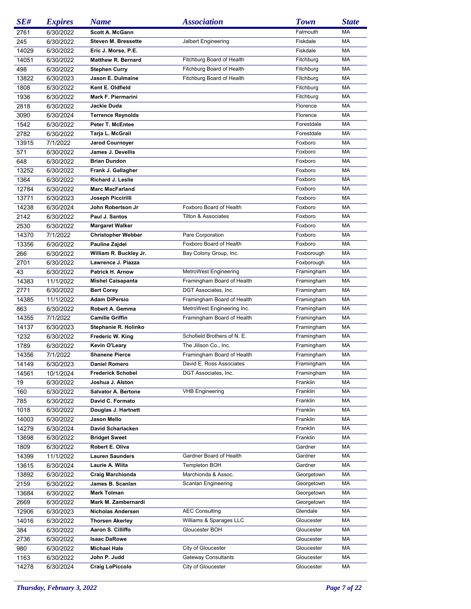| SE#          | <b>Expires</b> | <b>Name</b>                | <b>Association</b>             | <b>Town</b> | <b>State</b> |
|--------------|----------------|----------------------------|--------------------------------|-------------|--------------|
| 2761         | 6/30/2022      | Scott A. McGann            |                                | Falmouth    | МA           |
| 245          | 6/30/2022      | <b>Steven M. Bressette</b> | Jalbert Engineering            | Fiskdale    | MA           |
| 14029        | 6/30/2022      | Eric J. Morse, P.E.        |                                | Fiskdale    | MA           |
| 14051        | 6/30/2022      | <b>Matthew R. Bernard</b>  | Fitchburg Board of Health      | Fitchburg   | <b>MA</b>    |
| 498          | 6/30/2022      | <b>Stephen Curry</b>       | Fitchburg Board of Health      | Fitchburg   | <b>MA</b>    |
| 13822        | 6/30/2023      | Jason E. Dulmaine          | Fitchburg Board of Health      | Fitchburg   | <b>MA</b>    |
| 1808         | 6/30/2022      | Kent E. Oldfield           |                                | Fitchburg   | <b>MA</b>    |
| 1936         | 6/30/2022      | Mark F. Piermarini         |                                | Fitchburg   | MA           |
| 2818         | 6/30/2022      | Jackie Duda                |                                | Florence    | MA           |
| 3090         | 6/30/2024      | <b>Terrence Reynolds</b>   |                                | Florence    | MA           |
|              |                | Peter T. McEntee           |                                | Forestdale  | MA           |
| 1542<br>2782 | 6/30/2022      |                            |                                | Forestdale  | MA           |
|              | 6/30/2022      | Tarja L. McGrail           |                                |             |              |
| 13915        | 7/1/2022       | <b>Jarod Cournoyer</b>     |                                | Foxboro     | MA           |
| 571          | 6/30/2022      | James J. Devellis          |                                | Foxboro     | MA           |
| 648          | 6/30/2022      | <b>Brian Dundon</b>        |                                | Foxboro     | MA           |
| 13252        | 6/30/2022      | Frank J. Gallagher         |                                | Foxboro     | MA           |
| 1364         | 6/30/2022      | Richard J. Leslie          |                                | Foxboro     | MA           |
| 12784        | 6/30/2022      | <b>Marc MacFarland</b>     |                                | Foxboro     | MA           |
| 13771        | 6/30/2023      | Joseph Piccirilli          |                                | Foxboro     | MA           |
| 14238        | 6/30/2024      | John Robertson Jr          | Foxboro Board of Health        | Foxboro     | MA           |
| 2142         | 6/30/2022      | Paul J. Santos             | <b>Tilton &amp; Associates</b> | Foxboro     | MA           |
| 2530         | 6/30/2022      | <b>Margaret Walker</b>     |                                | Foxboro     | MA           |
| 14370        | 7/1/2022       | <b>Christopher Webber</b>  | Pare Corporation               | Foxboro     | MA           |
| 13356        | 6/30/2022      | Pauline Zajdel             | Foxboro Board of Health        | Foxboro     | MA           |
| 266          | 6/30/2022      | William R. Buckley Jr.     | Bay Colony Group, Inc.         | Foxborough  | MA           |
| 2701         | 6/30/2022      | Lawrence J. Piazza         |                                | Foxborough  | MA           |
| 43           | 6/30/2022      | <b>Patrick H. Arnow</b>    | MetroWest Engineering          | Framingham  | MA           |
| 14383        | 11/1/2022      | <b>Mishel Caisapanta</b>   | Framingham Board of Health     | Framingham  | МA           |
| 2771         | 6/30/2022      | <b>Bert Corey</b>          | DGT Associates, Inc.           | Framingham  | MA           |
| 14385        | 11/1/2022      | <b>Adam DiPersio</b>       | Framingham Board of Health     | Framingham  | MA           |
| 863          | 6/30/2022      | Robert A. Gemma            | MetroWest Engineering Inc.     | Framingham  | MA           |
| 14355        | 7/1/2022       | <b>Camille Griffin</b>     | Framingham Board of Health     | Framingham  | MA           |
| 14137        | 6/30/2023      | Stephanie R. Holinko       |                                | Framingham  | MA           |
| 1232         | 6/30/2022      | Frederic W. King           | Schofield Brothers of N. E.    | Framingham  | MA           |
| 1789         | 6/30/2022      | <b>Kevin O'Leary</b>       | The Jilison Co., Inc.          | Framingham  | МA           |
| 14356        | 7/1/2022       | <b>Shanene Pierce</b>      | Framingham Board of Health     | Framingham  | MA           |
| 14149        | 6/30/2023      | Daniel Romero              | David E. Ross Associates       | Framingham  | MA           |
| 14561        | 10/1/2024      | <b>Frederick Schobel</b>   | DGT Associates, Inc.           | Framingham  | МA           |
| 19           | 6/30/2022      | Joshua J. Alston           |                                | Franklin    | МA           |
|              |                | <b>Salvator A. Bertone</b> | <b>VHB Engineering</b>         | Franklin    | МA           |
| 160          | 6/30/2022      |                            |                                |             |              |
| 785          | 6/30/2022      | David C. Formato           |                                | Franklin    | МA           |
| 1018         | 6/30/2022      | Douglas J. Hartnett        |                                | Franklin    | МA           |
| 14003        | 6/30/2022      | Jason Mello                |                                | Franklin    | МA           |
| 14279        | 6/30/2024      | David Scharlacken          |                                | Franklin    | МA           |
| 13698        | 6/30/2022      | <b>Bridget Sweet</b>       |                                | Franklin    | МA           |
| 1809         | 6/30/2022      | Robert E. Oliva            |                                | Gardner     | МA           |
| 14399        | 11/1/2022      | <b>Lauren Saunders</b>     | Gardner Board of Health        | Gardner     | МA           |
| 13615        | 6/30/2024      | Laurie A. Wiita            | Templeton BOH                  | Gardner     | МA           |
| 13892        | 6/30/2022      | <b>Craig Marchionda</b>    | Marchionda & Assoc.            | Georgetown  | МA           |
| 2159         | 6/30/2022      | James B. Scanlan           | Scanlan Engineering            | Georgetown  | МA           |
| 13684        | 6/30/2022      | <b>Mark Tolman</b>         |                                | Georgetown  | МA           |
| 2669         | 6/30/2022      | Mark M. Zambernardi        |                                | Georgetown  | МA           |
| 12906        | 6/30/2023      | Nicholas Andersen          | <b>AEC Consulting</b>          | Glendale    | МA           |
| 14016        | 6/30/2022      | <b>Thorsen Akerley</b>     | Williams & Sparages LLC        | Gloucester  | МA           |
| 384          | 6/30/2022      | Aaron S. Cilliffo          | Gloucester BOH                 | Gloucester  | МA           |
| 2736         | 6/30/2022      | <b>Isaac DaRowe</b>        |                                | Gloucester  | МA           |
| 980          | 6/30/2022      | <b>Michael Hale</b>        | City of Gloucester             | Gloucester  | МA           |
| 1163         | 6/30/2022      | John P. Judd               | Gateway Consultants            | Gloucester  | МA           |
| 14278        | 6/30/2024      | <b>Craig LoPiccolo</b>     | City of Gloucester             | Gloucester  | МA           |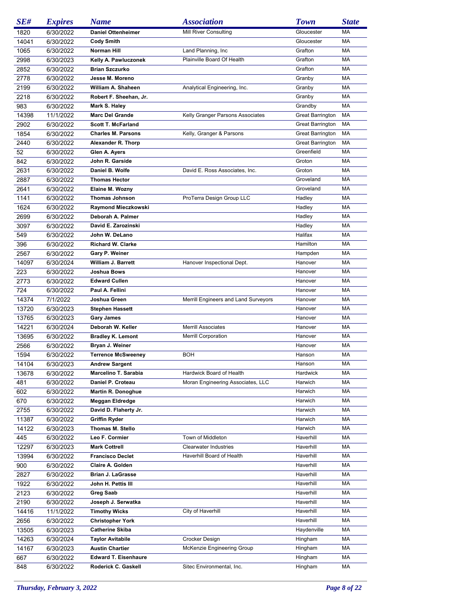| SE#   | <b>Expires</b> | <b>Name</b>                 | <b>Association</b>                   | <b>Town</b>             | <b>State</b> |
|-------|----------------|-----------------------------|--------------------------------------|-------------------------|--------------|
| 1820  | 6/30/2022      | <b>Daniel Ottenheimer</b>   | <b>Mill River Consulting</b>         | Gloucester              | МA           |
| 14041 | 6/30/2022      | <b>Cody Smith</b>           |                                      | Gloucester              | МA           |
| 1065  | 6/30/2022      | Norman Hill                 | Land Planning, Inc.                  | Grafton                 | МA           |
| 2998  | 6/30/2023      | Kelly A. Pawluczonek        | Plainville Board Of Health           | Grafton                 | МA           |
| 2852  | 6/30/2022      | <b>Brian Szczurko</b>       |                                      | Grafton                 | МA           |
| 2778  | 6/30/2022      | Jesse M. Moreno             |                                      | Granby                  | МA           |
| 2199  | 6/30/2022      | William A. Shaheen          | Analytical Engineering, Inc.         | Granby                  | МA           |
| 2218  | 6/30/2022      | Robert F. Sheehan, Jr.      |                                      | Granby                  | МA           |
| 983   | 6/30/2022      | Mark S. Haley               |                                      | Grandby                 | МA           |
| 14398 | 11/1/2022      | <b>Marc Del Grande</b>      | Kelly Granger Parsons Associates     | <b>Great Barrington</b> | МA           |
| 2902  | 6/30/2022      | <b>Scott T. McFarland</b>   |                                      | <b>Great Barrington</b> | МA           |
| 1854  | 6/30/2022      | <b>Charles M. Parsons</b>   | Kelly, Granger & Parsons             | <b>Great Barrington</b> | МA           |
| 2440  | 6/30/2022      | Alexander R. Thorp          |                                      | <b>Great Barrington</b> | МA           |
| 52    | 6/30/2022      | Glen A. Ayers               |                                      | Greenfield              | МA           |
| 842   | 6/30/2022      | John R. Garside             |                                      | Groton                  | МA           |
| 2631  | 6/30/2022      | Daniel B. Wolfe             | David E. Ross Associates, Inc.       | Groton                  | МA           |
| 2887  | 6/30/2022      | <b>Thomas Hector</b>        |                                      | Groveland               | МA           |
| 2641  | 6/30/2022      | Elaine M. Wozny             |                                      | Groveland               | МA           |
| 1141  | 6/30/2022      | <b>Thomas Johnson</b>       | ProTerra Design Group LLC            | Hadley                  | МA           |
| 1624  | 6/30/2022      | Raymond Mieczkowski         |                                      | Hadley                  | МA           |
| 2699  | 6/30/2022      | Deborah A. Palmer           |                                      | Hadley                  | МA           |
| 3097  | 6/30/2022      | David E. Zarozinski         |                                      | Hadley                  | МA           |
| 549   | 6/30/2022      | John W. DeLano              |                                      | Halifax                 | МA           |
| 396   | 6/30/2022      | <b>Richard W. Clarke</b>    |                                      | Hamilton                | МA           |
| 2567  | 6/30/2022      | Gary P. Weiner              |                                      | Hampden                 | МA           |
| 14097 | 6/30/2024      | William J. Barrett          | Hanover Inspectional Dept.           | Hanover                 | МA           |
| 223   | 6/30/2022      | Joshua Bows                 |                                      | Hanover                 | МA           |
| 2773  | 6/30/2022      | <b>Edward Cullen</b>        |                                      | Hanover                 | МA           |
| 724   | 6/30/2022      | Paul A. Fellini             |                                      | Hanover                 | МA           |
| 14374 | 7/1/2022       | Joshua Green                | Merrill Engineers and Land Surveyors | Hanover                 | МA           |
| 13720 | 6/30/2023      | <b>Stephen Hassett</b>      |                                      | Hanover                 | МA           |
| 13765 | 6/30/2023      | <b>Gary James</b>           |                                      | Hanover                 | МA           |
| 14221 | 6/30/2024      | Deborah W. Keller           | <b>Merrill Associates</b>            | Hanover                 | МA           |
| 13695 | 6/30/2022      | <b>Bradley K. Lemont</b>    | <b>Merrill Corporation</b>           | Hanover                 | МA           |
| 2566  | 6/30/2022      | Bryan J. Weiner             |                                      | Hanover                 | MA           |
| 1594  | 6/30/2022      | <b>Terrence McSweenev</b>   | BOH                                  | Hanson                  | МA           |
| 14104 | 6/30/2023      | <b>Andrew Sargent</b>       |                                      | Hanson                  | MA           |
| 13678 | 6/30/2022      | Marcelino T. Sarabia        | Hardwick Board of Health             | Hardwick                | МA           |
| 481   | 6/30/2022      | Daniel P. Croteau           | Moran Engineering Associates, LLC    | Harwich                 | МA           |
| 602   | 6/30/2022      | <b>Martin R. Donoghue</b>   |                                      | Harwich                 | МA           |
| 670   | 6/30/2022      | <b>Meggan Eldredge</b>      |                                      | Harwich                 | МA           |
| 2755  | 6/30/2022      | David D. Flaherty Jr.       |                                      | Harwich                 | МA           |
| 11387 | 6/30/2022      | <b>Griffin Ryder</b>        |                                      | Harwich                 | МA           |
| 14122 | 6/30/2023      | Thomas M. Stello            |                                      | Harwich                 | МA           |
| 445   | 6/30/2022      | Leo F. Cormier              | Town of Middleton                    | Haverhill               | МA           |
| 12297 | 6/30/2023      | <b>Mark Cottrell</b>        | <b>Clearwater Industries</b>         | Haverhill               | МA           |
| 13994 | 6/30/2022      | <b>Francisco Declet</b>     | Haverhill Board of Health            | Haverhill               | МA           |
| 900   | 6/30/2022      | Claire A. Golden            |                                      | Haverhill               | МA           |
| 2827  | 6/30/2022      | <b>Brian J. LaGrasse</b>    |                                      | Haverhill               | МA           |
| 1922  | 6/30/2022      | John H. Pettis III          |                                      | Haverhill               | МA           |
| 2123  | 6/30/2022      | <b>Greg Saab</b>            |                                      | Haverhill               | МA           |
| 2190  | 6/30/2022      | Joseph J. Serwatka          |                                      | Haverhill               | МA           |
| 14416 | 11/1/2022      | <b>Timothy Wicks</b>        | City of Haverhill                    | Haverhill               | МA           |
| 2656  | 6/30/2022      | <b>Christopher York</b>     |                                      | Haverhill               | МA           |
| 13505 | 6/30/2023      | <b>Catherine Skiba</b>      |                                      | Haydenville             | МA           |
| 14263 | 6/30/2024      | <b>Taylor Avitabile</b>     | Crocker Design                       | Hingham                 | МA           |
| 14167 | 6/30/2023      | <b>Austin Chartier</b>      | McKenzie Engineering Group           | Hingham                 | МA           |
| 667   | 6/30/2022      | <b>Edward T. Eisenhaure</b> |                                      | Hingham                 | МA           |
| 848   | 6/30/2022      | Roderick C. Gaskell         | Sitec Environmental, Inc.            | Hingham                 | МA           |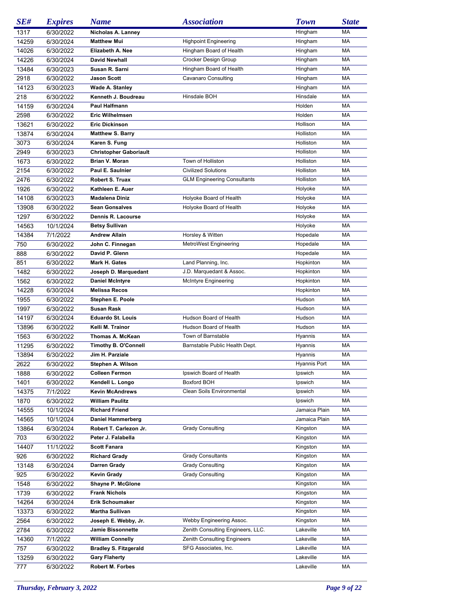| SE#   | <b>Expires</b> | <b>Name</b>                   | <b>Association</b>                 | <b>Town</b>   | <b>State</b> |
|-------|----------------|-------------------------------|------------------------------------|---------------|--------------|
| 1317  | 6/30/2022      | Nicholas A. Lanney            |                                    | Hingham       | МA           |
| 14259 | 6/30/2024      | <b>Matthew Mui</b>            | <b>Highpoint Engineering</b>       | Hingham       | MA           |
| 14026 | 6/30/2022      | Elizabeth A. Nee              | Hingham Board of Health            | Hingham       | MA           |
| 14226 | 6/30/2024      | <b>David Newhall</b>          | Crocker Design Group               | Hingham       | MA           |
| 13484 | 6/30/2023      | Susan R. Sarni                | Hingham Board of Health            | Hingham       | MA           |
| 2918  | 6/30/2022      | <b>Jason Scott</b>            | Cavanaro Consulting                | Hingham       | MA           |
| 14123 | 6/30/2023      | <b>Wade A. Stanley</b>        |                                    | Hingham       | MA           |
| 218   | 6/30/2022      | Kenneth J. Boudreau           | Hinsdale BOH                       | Hinsdale      | MA           |
| 14159 | 6/30/2024      | <b>Paul Halfmann</b>          |                                    | Holden        | MA           |
| 2598  |                | <b>Eric Wilhelmsen</b>        |                                    | Holden        | MA           |
|       | 6/30/2022      | <b>Eric Dickinson</b>         |                                    |               | MA           |
| 13621 | 6/30/2022      |                               |                                    | Hollison      |              |
| 13874 | 6/30/2024      | <b>Matthew S. Barry</b>       |                                    | Holliston     | MA           |
| 3073  | 6/30/2024      | Karen S. Fung                 |                                    | Holliston     | МA           |
| 2949  | 6/30/2023      | <b>Christopher Gaboriault</b> |                                    | Holliston     | МA           |
| 1673  | 6/30/2022      | Brian V. Moran                | Town of Holliston                  | Holliston     | МA           |
| 2154  | 6/30/2022      | Paul E. Saulnier              | <b>Civilized Solutions</b>         | Holliston     | МA           |
| 2476  | 6/30/2022      | <b>Robert S. Truax</b>        | <b>GLM Engineering Consultants</b> | Holliston     | МA           |
| 1926  | 6/30/2022      | Kathleen E. Auer              |                                    | Holyoke       | МA           |
| 14108 | 6/30/2023      | <b>Madalena Diniz</b>         | Holyoke Board of Health            | Holyoke       | МA           |
| 13908 | 6/30/2022      | <b>Sean Gonsalves</b>         | Holyoke Board of Health            | Holyoke       | МA           |
| 1297  | 6/30/2022      | Dennis R. Lacourse            |                                    | Holyoke       | МA           |
| 14563 | 10/1/2024      | <b>Betsy Sullivan</b>         |                                    | Holyoke       | МA           |
| 14384 | 7/1/2022       | <b>Andrew Allain</b>          | Horsley & Witten                   | Hopedale      | МA           |
| 750   | 6/30/2022      | John C. Finnegan              | MetroWest Engineering              | Hopedale      | МA           |
| 888   | 6/30/2022      | David P. Glenn                |                                    | Hopedale      | МA           |
| 851   | 6/30/2022      | Mark H. Gates                 | Land Planning, Inc.                | Hopkinton     | МA           |
| 1482  | 6/30/2022      | Joseph D. Marquedant          | J.D. Marquedant & Assoc.           | Hopkinton     | МA           |
| 1562  | 6/30/2022      | <b>Daniel McIntyre</b>        | <b>McIntyre Engineering</b>        | Hopkinton     | МA           |
| 14228 | 6/30/2024      | <b>Melissa Recos</b>          |                                    | Hopkinton     | МA           |
| 1955  | 6/30/2022      | Stephen E. Poole              |                                    | Hudson        | МA           |
| 1997  | 6/30/2022      | <b>Susan Rask</b>             |                                    | Hudson        | МA           |
| 14197 | 6/30/2024      | <b>Eduardo St. Louis</b>      | Hudson Board of Health             | Hudson        | МA           |
| 13896 | 6/30/2022      | Kelli M. Trainor              | Hudson Board of Health             | Hudson        | МA           |
| 1563  | 6/30/2022      | Thomas A. McKean              | Town of Barnstable                 | Hyannis       | МA           |
| 11295 | 6/30/2022      | Timothy B. O'Connell          | Barnstable Public Health Dept.     | Hyannis       | МA           |
| 13894 | 6/30/2022      | Jim H. Parziale               |                                    | Hyannis       | MA           |
| 2622  | 6/30/2022      | Stephen A. Wilson             |                                    | Hyannis Port  | MA           |
|       |                | <b>Colleen Fermon</b>         | Ipswich Board of Health            | Ipswich       | МA           |
| 1888  | 6/30/2022      |                               | Boxford BOH                        | Ipswich       | МA           |
| 1401  | 6/30/2022      | Kendell L. Longo              |                                    |               |              |
| 14375 | 7/1/2022       | <b>Kevin McAndrews</b>        | Clean Soils Environmental          | Ipswich       | МA           |
| 1870  | 6/30/2022      | <b>William Paulitz</b>        |                                    | Ipswich       | МA           |
| 14555 | 10/1/2024      | <b>Richard Friend</b>         |                                    | Jamaica Plain | МA           |
| 14565 | 10/1/2024      | <b>Daniel Hammerberg</b>      |                                    | Jamaica Plain | МA           |
| 13864 | 6/30/2024      | Robert T. Carlezon Jr.        | <b>Grady Consulting</b>            | Kingston      | МA           |
| 703   | 6/30/2022      | Peter J. Falabella            |                                    | Kingston      | МA           |
| 14407 | 11/1/2022      | <b>Scott Fanara</b>           |                                    | Kingston      | МA           |
| 926   | 6/30/2022      | <b>Richard Grady</b>          | <b>Grady Consultants</b>           | Kingston      | МA           |
| 13148 | 6/30/2024      | Darren Grady                  | <b>Grady Consulting</b>            | Kingston      | МA           |
| 925   | 6/30/2022      | <b>Kevin Grady</b>            | <b>Grady Consulting</b>            | Kingston      | МA           |
| 1548  | 6/30/2022      | Shayne P. McGlone             |                                    | Kingston      | МA           |
| 1739  | 6/30/2022      | <b>Frank Nichols</b>          |                                    | Kingston      | МA           |
| 14264 | 6/30/2024      | <b>Erik Schoumaker</b>        |                                    | Kingston      | МA           |
| 13373 | 6/30/2022      | Martha Sullivan               |                                    | Kingston      | МA           |
| 2564  | 6/30/2022      | Joseph E. Webby, Jr.          | Webby Engineering Assoc.           | Kingston      | МA           |
| 2784  | 6/30/2022      | Jamie Bissonnette             | Zenith Consulting Engineers, LLC.  | Lakeville     | МA           |
| 14360 | 7/1/2022       | <b>William Connelly</b>       | Zenith Consulting Engineers        | Lakeville     | МA           |
| 757   | 6/30/2022      | <b>Bradley S. Fitzgerald</b>  | SFG Associates, Inc.               | Lakeville     | МA           |
| 13259 | 6/30/2022      | <b>Gary Flaherty</b>          |                                    | Lakeville     | МA           |
| 777   | 6/30/2022      | Robert M. Forbes              |                                    | Lakeville     | МA           |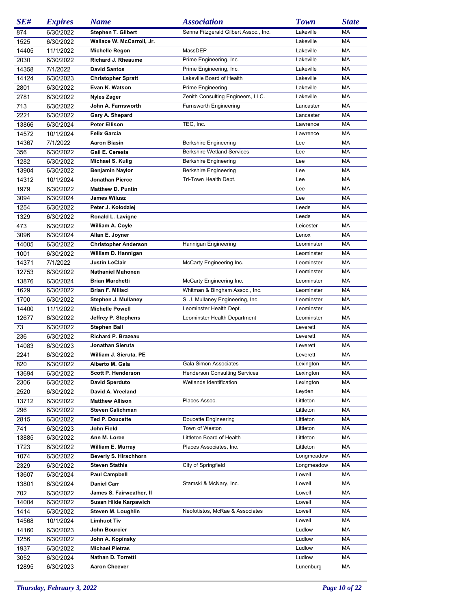| SE#   | <b>Expires</b> | <b>Name</b>                 | <b>Association</b>                    | <b>Town</b> | <b>State</b> |
|-------|----------------|-----------------------------|---------------------------------------|-------------|--------------|
| 874   | 6/30/2022      | <b>Stephen T. Gilbert</b>   | Senna Fitzgerald Gilbert Assoc., Inc. | Lakeville   | МA           |
| 1525  | 6/30/2022      | Wallace W. McCarroll, Jr.   |                                       | Lakeville   | МA           |
| 14405 | 11/1/2022      | Michelle Regon              | MassDEP                               | Lakeville   | МA           |
| 2030  | 6/30/2022      | Richard J. Rheaume          | Prime Engineering, Inc.               | Lakeville   | МA           |
| 14358 | 7/1/2022       | <b>David Santos</b>         | Prime Engineering, Inc.               | Lakeville   | МA           |
| 14124 | 6/30/2023      | <b>Christopher Spratt</b>   | Lakeville Board of Health             | Lakeville   | МA           |
| 2801  | 6/30/2022      | Evan K. Watson              | Prime Engineering                     | Lakeville   | МA           |
| 2781  | 6/30/2022      | <b>Nyles Zager</b>          | Zenith Consulting Engineers, LLC.     | Lakeville   | МA           |
| 713   | 6/30/2022      | John A. Farnsworth          | Farnsworth Engineering                | Lancaster   | МA           |
| 2221  | 6/30/2022      | Gary A. Shepard             |                                       | Lancaster   | МA           |
| 13866 | 6/30/2024      | <b>Peter Ellison</b>        | TEC, Inc.                             | Lawrence    | МA           |
| 14572 | 10/1/2024      | <b>Felix Garcia</b>         |                                       | Lawrence    | МA           |
| 14367 | 7/1/2022       | Aaron Biasin                | Berkshire Engineering                 | Lee         | МA           |
| 356   | 6/30/2022      | Gail E. Ceresia             | <b>Berkshire Wetland Services</b>     | Lee         | МA           |
| 1282  | 6/30/2022      | Michael S. Kulig            | Berkshire Engineering                 | Lee         | МA           |
| 13904 | 6/30/2022      | <b>Benjamin Naylor</b>      | <b>Berkshire Engineering</b>          | Lee         | МA           |
| 14312 | 10/1/2024      | Jonathan Pierce             | Tri-Town Health Dept.                 | Lee         | MA           |
| 1979  | 6/30/2022      | <b>Matthew D. Puntin</b>    |                                       | Lee         | МA           |
| 3094  | 6/30/2024      | <b>James Wilusz</b>         |                                       | Lee         | МA           |
| 1254  | 6/30/2022      | Peter J. Kolodziej          |                                       | Leeds       | MA           |
| 1329  | 6/30/2022      | Ronald L. Lavigne           |                                       | Leeds       | МA           |
| 473   | 6/30/2022      | William A. Coyle            |                                       | Leicester   | МA           |
| 3096  | 6/30/2024      | Allan E. Joyner             |                                       | Lenox       | МA           |
| 14005 | 6/30/2022      | <b>Christopher Anderson</b> | Hannigan Engineering                  | Leominster  | МA           |
| 1001  | 6/30/2022      | William D. Hannigan         |                                       | Leominster  | МA           |
| 14371 | 7/1/2022       | <b>Justin LeClair</b>       | McCarty Engineering Inc.              | Leominster  | МA           |
| 12753 | 6/30/2022      | <b>Nathaniel Mahonen</b>    |                                       | Leominster  | МA           |
| 13876 | 6/30/2024      | <b>Brian Marchetti</b>      | McCarty Engineering Inc.              | Leominster  | МA           |
| 1629  | 6/30/2022      | Brian F. Milisci            | Whitman & Bingham Assoc., Inc.        | Leominster  | МA           |
| 1700  | 6/30/2022      | Stephen J. Mullaney         | S. J. Mullaney Engineering, Inc.      | Leominster  | МA           |
| 14400 | 11/1/2022      | <b>Michelle Powell</b>      | Leominster Health Dept.               | Leominster  | МA           |
| 12677 | 6/30/2022      | Jeffrey P. Stephens         | Leominster Health Department          | Leominster  | МA           |
| 73    | 6/30/2022      | <b>Stephen Ball</b>         |                                       | Leverett    | МA           |
| 236   | 6/30/2022      | Richard P. Brazeau          |                                       | Leverett    | MA           |
| 14083 | 6/30/2023      | Jonathan Sieruta            |                                       | Leverett    | МA           |
| 2241  | 6/30/2022      | William J. Sieruta, PE      |                                       | Leverett    | МA           |
| 820   | 6/30/2022      | Alberto M. Gala             | Gala Simon Associates                 | Lexington   | МA           |
| 13694 | 6/30/2022      | <b>Scott P. Henderson</b>   | <b>Henderson Consulting Services</b>  | Lexington   | МA           |
| 2306  | 6/30/2022      | David Sperduto              | Wetlands Identification               | Lexington   | МA           |
| 2520  | 6/30/2022      | David A. Vreeland           |                                       | Leyden      | МA           |
| 13712 | 6/30/2022      | <b>Matthew Allison</b>      | Places Assoc.                         | Littleton   | МA           |
| 296   | 6/30/2022      | <b>Steven Calichman</b>     |                                       | Littleton   | МA           |
| 2815  | 6/30/2022      | <b>Ted P. Doucette</b>      | Doucette Engineering                  | Littleton   | МA           |
| 741   | 6/30/2023      | John Field                  | Town of Weston                        | Littleton   | МA           |
| 13885 | 6/30/2022      | Ann M. Loree                | Littleton Board of Health             | Littleton   | MA           |
| 1723  | 6/30/2022      | William E. Murray           | Places Associates, Inc.               | Littleton   | МA           |
| 1074  | 6/30/2022      | Beverly S. Hirschhorn       |                                       | Longmeadow  | МA           |
| 2329  | 6/30/2022      | <b>Steven Stathis</b>       | City of Springfield                   | Longmeadow  | МA           |
| 13607 | 6/30/2024      | Paul Campbell               |                                       | Lowell      | МA           |
| 13801 | 6/30/2024      | <b>Daniel Carr</b>          | Stamski & McNary, Inc.                | Lowell      | МA           |
| 702   | 6/30/2022      | James S. Fairweather, II    |                                       | Lowell      | МA           |
| 14004 | 6/30/2022      | Susan Hilde Karpawich       |                                       | Lowell      | МA           |
| 1414  | 6/30/2022      | Steven M. Loughlin          | Neofotistos, McRae & Associates       | Lowell      | МA           |
| 14568 | 10/1/2024      | <b>Limhuot Tiv</b>          |                                       | Lowell      | МA           |
| 14160 | 6/30/2023      | John Bourcier               |                                       | Ludlow      | МA           |
| 1256  | 6/30/2022      | John A. Kopinsky            |                                       | Ludlow      | МA           |
| 1937  | 6/30/2022      | <b>Michael Pietras</b>      |                                       | Ludlow      | МA           |
| 3052  | 6/30/2024      | Nathan D. Torretti          |                                       | Ludlow      | МA<br>MA     |
| 12895 | 6/30/2023      | <b>Aaron Cheever</b>        |                                       | Lunenburg   |              |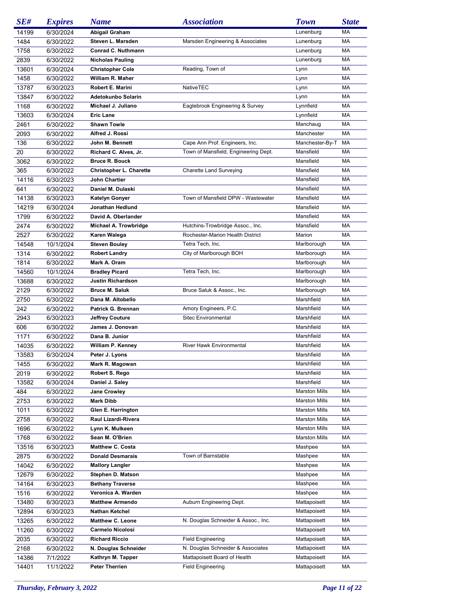| SE#   | <b>Expires</b> | <b>Name</b>                        | <b>Association</b>                   | <b>Town</b>          | <b>State</b> |
|-------|----------------|------------------------------------|--------------------------------------|----------------------|--------------|
| 14199 | 6/30/2024      | Abigail Graham                     |                                      | Lunenburg            | МA           |
| 1484  | 6/30/2022      | Steven L. Marsden                  | Marsden Engineering & Associates     | Lunenburg            | МA           |
| 1758  | 6/30/2022      | Conrad C. Nuthmann                 |                                      | Lunenburg            | МA           |
| 2839  | 6/30/2022      | <b>Nicholas Pauling</b>            |                                      | Lunenburg            | МA           |
| 13601 | 6/30/2024      | <b>Christopher Cole</b>            | Reading, Town of                     | Lynn                 | МA           |
| 1458  | 6/30/2022      | William R. Maher                   |                                      | Lynn                 | МA           |
| 13787 | 6/30/2023      | Robert E. Marini                   | NativeTEC                            |                      | МA           |
|       |                |                                    |                                      | Lynn                 |              |
| 13847 | 6/30/2022      | Adetokunbo Solarin                 |                                      | Lynn                 | МA           |
| 1168  | 6/30/2022      | Michael J. Juliano                 | Eaglebrook Engineering & Survey      | Lynnfield            | МA           |
| 13603 | 6/30/2024      | <b>Eric Lane</b>                   |                                      | Lynnfield            | МA           |
| 2461  | 6/30/2022      | <b>Shawn Towle</b>                 |                                      | Manchaug             | МA           |
| 2093  | 6/30/2022      | Alfred J. Rossi                    |                                      | Manchester           | MA           |
| 136   | 6/30/2022      | John M. Bennett                    | Cape Ann Prof. Engineers, Inc.       | Manchester-By-T      | МA           |
| 20    | 6/30/2022      | Richard C. Alves, Jr.              | Town of Mansfield, Engineering Dept. | Mansfield            | МA           |
| 3062  | 6/30/2022      | <b>Bruce R. Bouck</b>              |                                      | Mansfield            | МA           |
| 365   | 6/30/2022      | <b>Christopher L. Charette</b>     | <b>Charette Land Surveying</b>       | Mansfield            | MA           |
| 14116 | 6/30/2023      | John Chartier                      |                                      | Mansfield            | MA           |
| 641   | 6/30/2022      | Daniel M. Dulaski                  |                                      | Mansfield            | МA           |
| 14138 | 6/30/2023      | <b>Katelyn Gonyer</b>              | Town of Mansfield DPW - Wastewater   | Mansfield            | МA           |
| 14219 | 6/30/2024      | Jonathan Hedlund                   |                                      | Mansfield            | MA           |
| 1799  | 6/30/2022      | David A. Oberlander                |                                      | Mansfield            | MA           |
| 2474  | 6/30/2022      | Michael A. Trowbridge              | Hutchins-Trowbridge Assoc., Inc.     | Mansfield            | МA           |
| 2527  | 6/30/2022      | Karen Walega                       | Rochester-Marion Health District     | Marion               | МA           |
| 14548 | 10/1/2024      | <b>Steven Bouley</b>               | Tetra Tech, Inc.                     | Marlborough          | МA           |
|       |                |                                    |                                      |                      |              |
| 1314  | 6/30/2022      | <b>Robert Landry</b>               | City of Marlborough BOH              | Marlborough          | МA           |
| 1814  | 6/30/2022      | Mark A. Oram                       |                                      | Marlborough          | МA           |
| 14560 | 10/1/2024      | <b>Bradley Picard</b>              | Tetra Tech, Inc.                     | Marlborough          | MA           |
| 13688 | 6/30/2022      | <b>Justin Richardson</b>           |                                      | Marlborough          | МA           |
| 2129  | 6/30/2022      | <b>Bruce M. Saluk</b>              | Bruce Saluk & Assoc., Inc.           | Marlborough          | МA           |
| 2750  | 6/30/2022      | Dana M. Altobello                  |                                      | Marshfield           | MA           |
| 242   | 6/30/2022      | Patrick G. Brennan                 | Amory Engineers, P.C.                | Marshfield           | MA           |
| 2943  | 6/30/2023      | <b>Jeffrey Couture</b>             | Sitec Environmental                  | Marshfield           | МA           |
| 606   | 6/30/2022      | James J. Donovan                   |                                      | Marshfield           | МA           |
| 1171  | 6/30/2022      | Dana B. Junior                     |                                      | Marshfield           | MA           |
| 14035 | 6/30/2022      | William P. Kenney                  | <b>River Hawk Environmental</b>      | Marshfield           | МA           |
| 13583 | 6/30/2024      | Peter J. Lyons                     |                                      | Marshfield           | МA           |
| 1455  | 6/30/2022      | Mark R. Magowan                    |                                      | Marshfield           | MA           |
| 2019  | 6/30/2022      | Robert S. Rego                     |                                      | Marshfield           | МA           |
| 13582 | 6/30/2024      | Daniel J. Saley                    |                                      | Marshfield           | МA           |
| 484   | 6/30/2022      | <b>Jane Crowley</b>                |                                      | <b>Marston Mills</b> | МA           |
| 2753  | 6/30/2022      | <b>Mark Dibb</b>                   |                                      | <b>Marston Mills</b> | МA           |
| 1011  | 6/30/2022      | Glen E. Harrington                 |                                      | <b>Marston Mills</b> | MA           |
| 2758  |                | Raul Lizardi-Rivera                |                                      | <b>Marston Mills</b> | МA           |
| 1696  | 6/30/2022      |                                    |                                      | <b>Marston Mills</b> | MA           |
|       | 6/30/2022      | Lynn K. Mulkeen<br>Sean M. O'Brien |                                      |                      | MA           |
| 1768  | 6/30/2022      |                                    |                                      | <b>Marston Mills</b> |              |
| 13516 | 6/30/2023      | <b>Matthew C. Costa</b>            |                                      | Mashpee              | МA           |
| 2875  | 6/30/2022      | <b>Donald Desmarais</b>            | Town of Barnstable                   | Mashpee              | МA           |
| 14042 | 6/30/2022      | <b>Mallory Langler</b>             |                                      | Mashpee              | МA           |
| 12679 | 6/30/2022      | Stephen D. Matson                  |                                      | Mashpee              | МA           |
| 14164 | 6/30/2023      | <b>Bethany Traverse</b>            |                                      | Mashpee              | МA           |
| 1516  | 6/30/2022      | Veronica A. Warden                 |                                      | Mashpee              | МA           |
| 13480 | 6/30/2023      | <b>Matthew Armendo</b>             | Auburn Engineering Dept.             | Mattapoisett         | МA           |
| 12894 | 6/30/2023      | Nathan Ketchel                     |                                      | Mattapoisett         | МA           |
| 13265 | 6/30/2022      | <b>Matthew C. Leone</b>            | N. Douglas Schneider & Assoc., Inc.  | Mattapoisett         | МA           |
| 11260 | 6/30/2022      | <b>Carmelo Nicolosi</b>            |                                      | Mattapoisett         | МA           |
| 2035  | 6/30/2022      | <b>Richard Riccio</b>              | <b>Field Engineering</b>             | Mattapoisett         | МA           |
| 2168  | 6/30/2022      | N. Douglas Schneider               | N. Douglas Schneider & Associates    | Mattapoisett         | МA           |
| 14386 | 7/1/2022       | Kathryn M. Tapper                  | Mattapoisett Board of Health         | Mattapoisett         | МA           |
| 14401 | 11/1/2022      | <b>Peter Therrien</b>              | <b>Field Engineering</b>             | Mattapoisett         | МA           |
|       |                |                                    |                                      |                      |              |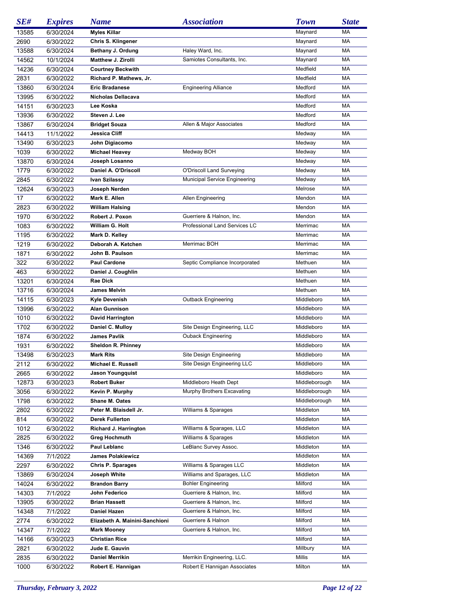| SE#   | <b>Expires</b> | <b>Name</b>                    | <i><b>Association</b></i>            | <b>Town</b>   | <b>State</b> |
|-------|----------------|--------------------------------|--------------------------------------|---------------|--------------|
| 13585 | 6/30/2024      | <b>Myles Killar</b>            |                                      | Maynard       | МA           |
| 2690  | 6/30/2022      | Chris S. Klingener             |                                      | Maynard       | MA           |
| 13588 | 6/30/2024      | Bethany J. Ordung              | Haley Ward, Inc.                     | Maynard       | MA           |
| 14562 | 10/1/2024      | Matthew J. Zirolli             | Samiotes Consultants, Inc.           | Maynard       | МA           |
| 14236 | 6/30/2024      | <b>Courtney Beckwith</b>       |                                      | Medfield      | МA           |
| 2831  | 6/30/2022      | Richard P. Mathews, Jr.        |                                      | Medfield      | MA           |
| 13860 | 6/30/2024      | <b>Eric Bradanese</b>          | <b>Engineering Alliance</b>          | Medford       | МA           |
| 13995 | 6/30/2022      | Nicholas Dellacava             |                                      | Medford       | МA           |
| 14151 | 6/30/2023      | Lee Koska                      |                                      | Medford       | МA           |
| 13936 | 6/30/2022      | Steven J. Lee                  |                                      | Medford       | МA           |
| 13867 | 6/30/2024      | <b>Bridget Souza</b>           | Allen & Major Associates             | Medford       | МA           |
|       |                |                                |                                      |               | МA           |
| 14413 | 11/1/2022      | Jessica Cliff                  |                                      | Medway        |              |
| 13490 | 6/30/2023      | John Digiacomo                 |                                      | Medway        | МA           |
| 1039  | 6/30/2022      | <b>Michael Heavey</b>          | Medway BOH                           | Medway        | MA           |
| 13870 | 6/30/2024      | Joseph Losanno                 |                                      | Medway        | MA           |
| 1779  | 6/30/2022      | Daniel A. O'Driscoll           | O'Driscoll Land Surveying            | Medway        | МA           |
| 2845  | 6/30/2022      | Ivan Szilassy                  | <b>Municipal Service Engineering</b> | Medway        | MA           |
| 12624 | 6/30/2023      | Joseph Nerden                  |                                      | Melrose       | MA           |
| 17    | 6/30/2022      | Mark E. Allen                  | Allen Engineering                    | Mendon        | MA           |
| 2823  | 6/30/2022      | <b>William Halsing</b>         |                                      | Mendon        | МA           |
| 1970  | 6/30/2022      | Robert J. Poxon                | Guerriere & Halnon, Inc.             | Mendon        | MA           |
| 1083  | 6/30/2022      | William G. Holt                | Professional Land Services LC        | Merrimac      | MA           |
| 1195  | 6/30/2022      | Mark D. Kelley                 |                                      | Merrimac      | MA           |
| 1219  | 6/30/2022      | Deborah A. Ketchen             | Merrimac BOH                         | Merrimac      | МA           |
| 1871  | 6/30/2022      | John B. Paulson                |                                      | Merrimac      | MA           |
| 322   | 6/30/2022      | <b>Paul Cardone</b>            | Septic Compliance Incorporated       | Methuen       | MA           |
| 463   | 6/30/2022      | Daniel J. Coughlin             |                                      | Methuen       | MA           |
| 13201 | 6/30/2024      | Rae Dick                       |                                      | Methuen       | МA           |
| 13716 | 6/30/2024      | James Melvin                   |                                      | Methuen       | MA           |
| 14115 | 6/30/2023      | Kyle Devenish                  | <b>Outback Engineering</b>           | Middleboro    | MA           |
| 13996 | 6/30/2022      | <b>Alan Gunnison</b>           |                                      | Middleboro    | МA           |
| 1010  | 6/30/2022      | <b>David Harrington</b>        |                                      | Middleboro    | МA           |
| 1702  | 6/30/2022      | Daniel C. Mulloy               | Site Design Engineering, LLC         | Middleboro    | MA           |
| 1874  | 6/30/2022      | <b>James Pavlik</b>            | Ouback Engineering                   | Middleboro    | MA           |
| 1931  | 6/30/2022      | <b>Sheldon R. Phinney</b>      |                                      | Middleboro    | МA           |
|       |                | <b>Mark Rits</b>               | Site Design Engineering              | Middleboro    | МA           |
| 13498 | 6/30/2023      | Michael E. Russell             | Site Design Engineering LLC          | Middleboro    | MA           |
| 2112  | 6/30/2022      |                                |                                      |               |              |
| 2665  | 6/30/2022      | Jason Youngquist               |                                      | Middleboro    | MA           |
| 12873 | 6/30/2023      | <b>Robert Buker</b>            | Middleboro Heath Dept                | Middleborough | МA           |
| 3056  | 6/30/2022      | Kevin P. Murphy                | Murphy Brothers Excavating           | Middleborough | МA           |
| 1798  | 6/30/2022      | Shane M. Oates                 |                                      | Middleborough | МA           |
| 2802  | 6/30/2022      | Peter M. Blaisdell Jr.         | Williams & Sparages                  | Middleton     | МA           |
| 814   | 6/30/2022      | <b>Derek Fullerton</b>         |                                      | Middleton     | МA           |
| 1012  | 6/30/2022      | Richard J. Harrington          | Williams & Sparages, LLC             | Middleton     | МA           |
| 2825  | 6/30/2022      | <b>Greg Hochmuth</b>           | Williams & Sparages                  | Middleton     | МA           |
| 1346  | 6/30/2022      | Paul Leblanc                   | LeBlanc Survey Assoc.                | Middleton     | МA           |
| 14369 | 7/1/2022       | <b>James Polakiewicz</b>       |                                      | Middleton     | МA           |
| 2297  | 6/30/2022      | <b>Chris P. Sparages</b>       | Williams & Sparages LLC              | Middleton     | МA           |
| 13869 | 6/30/2024      | Joseph White                   | Williams and Sparages, LLC           | Middleton     | МA           |
| 14024 | 6/30/2022      | <b>Brandon Barry</b>           | <b>Bohler Engineering</b>            | Milford       | МA           |
| 14303 | 7/1/2022       | John Federico                  | Guerriere & Halnon, Inc.             | Milford       | МA           |
| 13905 | 6/30/2022      | <b>Brian Hassett</b>           | Guerriere & Halnon, Inc.             | Milford       | МA           |
| 14348 | 7/1/2022       | Daniel Hazen                   | Guerriere & Halnon, Inc.             | Milford       | МA           |
| 2774  | 6/30/2022      | Elizabeth A. Mainini-Sanchioni | Guerriere & Halnon                   | Milford       | МA           |
| 14347 | 7/1/2022       | <b>Mark Mooney</b>             | Guerriere & Halnon, Inc.             | Milford       | МA           |
| 14166 | 6/30/2023      | <b>Christian Rice</b>          |                                      | Milford       | МA           |
| 2821  | 6/30/2022      | Jude E. Gauvin                 |                                      | Millbury      | МA           |
| 2835  | 6/30/2022      | Daniel Merrikin                | Merrikin Engineering, LLC.           | Millis        | МA           |
| 1000  | 6/30/2022      | Robert E. Hannigan             | Robert E Hannigan Associates         | Milton        | МA           |
|       |                |                                |                                      |               |              |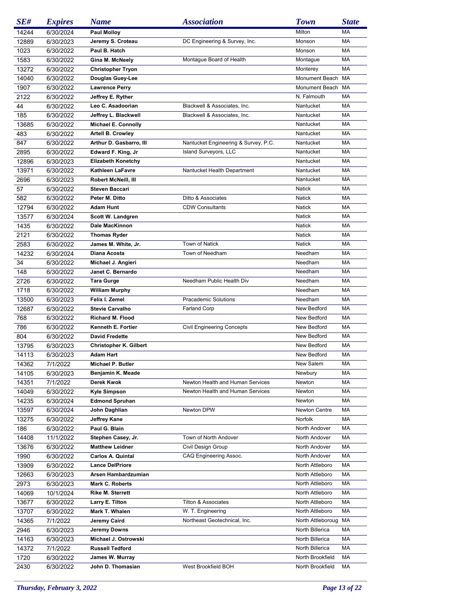| SE#   | <b>Expires</b> | <b>Name</b>                             | <b>Association</b>                   | <b>Town</b>          | <b>State</b> |
|-------|----------------|-----------------------------------------|--------------------------------------|----------------------|--------------|
| 14244 | 6/30/2024      | <b>Paul Molloy</b>                      |                                      | Milton               | MA           |
| 12889 | 6/30/2023      | Jeremy S. Croteau                       | DC Engineering & Survey, Inc.        | Monson               | MA           |
| 1023  | 6/30/2022      | Paul B. Hatch                           |                                      | Monson               | MA           |
| 1583  | 6/30/2022      | Gina M. McNeely                         | Montague Board of Health             | Montague             | МA           |
| 13272 | 6/30/2022      | <b>Christopher Tryon</b>                |                                      | Monterey             | MA           |
| 14040 | 6/30/2022      | Douglas Guey-Lee                        |                                      | Monument Beach       | MA           |
| 1907  | 6/30/2022      | <b>Lawrence Perry</b>                   |                                      | Monument Beach MA    |              |
|       |                |                                         |                                      |                      | MA           |
| 2122  | 6/30/2022      | Jeffrey E. Ryther                       |                                      | N. Falmouth          |              |
| 44    | 6/30/2022      | Leo C. Asadoorian                       | Blackwell & Associates, Inc.         | Nantucket            | MA           |
| 185   | 6/30/2022      | Jeffrey L. Blackwell                    | Blackwell & Associates, Inc.         | Nantucket            | MA           |
| 13685 | 6/30/2022      | <b>Michael E. Connolly</b>              |                                      | Nantucket            | MA           |
| 483   | 6/30/2022      | <b>Artell B. Crowley</b>                |                                      | Nantucket            | MA           |
| 847   | 6/30/2022      | Arthur D. Gasbarro, III                 | Nantucket Engineering & Survey, P.C. | Nantucket            | МA           |
| 2895  | 6/30/2022      | Edward F. King, Jr                      | Island Surveyors, LLC                | Nantucket            | MA           |
| 12896 | 6/30/2023      | <b>Elizabeth Konetchy</b>               |                                      | Nantucket            | MA           |
| 13971 | 6/30/2022      | Kathleen LaFavre                        | Nantucket Health Department          | Nantucket            | MA           |
| 2696  | 6/30/2023      | Robert McNeill, III                     |                                      | Nantucket            | MA           |
| 57    | 6/30/2022      | <b>Steven Baccari</b>                   |                                      | <b>Natick</b>        | MA           |
| 582   | 6/30/2022      | Peter M. Ditto                          | Ditto & Associates                   | <b>Natick</b>        | MA           |
| 12794 | 6/30/2022      | <b>Adam Hunt</b>                        | <b>CDW Consultants</b>               | Natick               | MA           |
| 13577 | 6/30/2024      | Scott W. Landgren                       |                                      | <b>Natick</b>        | MA           |
| 1435  | 6/30/2022      | Dale MacKinnon                          |                                      | Natick               | MA           |
| 2121  | 6/30/2022      | <b>Thomas Ryder</b>                     |                                      | Natick               | MA           |
| 2583  | 6/30/2022      | James M. White, Jr.                     | <b>Town of Natick</b>                | Natick               | MA           |
| 14232 | 6/30/2024      | Diana Acosta                            | Town of Needham                      | Needham              | MA           |
| 34    | 6/30/2022      | Michael J. Angieri                      |                                      | Needham              | MA           |
| 148   | 6/30/2022      | Janet C. Bernardo                       |                                      | Needham              | MA           |
| 2726  | 6/30/2022      | <b>Tara Gurge</b>                       | Needham Public Health Div            | Needham              | MA           |
| 1718  |                |                                         |                                      | Needham              | MA           |
|       | 6/30/2022      | <b>William Murphy</b><br>Felix I. Zemel |                                      |                      | MA           |
| 13500 | 6/30/2023      |                                         | Pracademic Solutions                 | Needham              |              |
| 12687 | 6/30/2022      | <b>Stevie Carvalho</b>                  | <b>Farland Corp</b>                  | New Bedford          | MA           |
| 768   | 6/30/2022      | Richard M. Flood                        |                                      | New Bedford          | MA           |
| 786   | 6/30/2022      | Kenneth E. Fortier                      | <b>Civil Engineering Concepts</b>    | New Bedford          | MA           |
| 804   | 6/30/2022      | <b>David Fredette</b>                   |                                      | New Bedford          | MA           |
| 13795 | 6/30/2023      | <b>Christopher K. Gilbert</b>           |                                      | New Bedford          | MA           |
| 14113 | 6/30/2023      | Adam Hart                               |                                      | New Bedford          | MA           |
| 14362 | 7/1/2022       | Michael P. Butler                       |                                      | New Salem            | MA           |
| 14105 | 6/30/2023      | Benjamin K. Meade                       |                                      | Newbury              | MA           |
| 14351 | 7/1/2022       | Derek Kwok                              | Newton Health and Human Services     | Newton               | MA           |
| 14049 | 6/30/2022      | Kyle Simpson                            | Newton Health and Human Services     | Newton               | MA           |
| 14235 | 6/30/2024      | <b>Edmond Spruhan</b>                   |                                      | Newton               | MA           |
| 13597 | 6/30/2024      | John Daghlian                           | Newton DPW                           | <b>Newton Centre</b> | MA           |
| 13275 | 6/30/2022      | <b>Jeffrey Kane</b>                     |                                      | Norfolk              | MA           |
| 186   | 6/30/2022      | Paul G. Blain                           |                                      | North Andover        | MA           |
| 14408 | 11/1/2022      | Stephen Casey, Jr.                      | Town of North Andover                | North Andover        | МA           |
| 13676 | 6/30/2022      | <b>Matthew Leidner</b>                  | Civil Design Group                   | North Andover        | MA           |
| 1990  | 6/30/2022      | <b>Carlos A. Quintal</b>                | CAQ Engineering Assoc.               | North Andover        | MA           |
| 13909 | 6/30/2022      | <b>Lance DelPriore</b>                  |                                      | North Attleboro      | MA           |
| 12663 | 6/30/2023      | Arsen Hambardzumian                     |                                      | North Attleboro      | MA           |
| 2973  | 6/30/2023      | Mark C. Roberts                         |                                      | North Attleboro      | МA           |
| 14069 | 10/1/2024      | <b>Rike M. Sterrett</b>                 |                                      | North Attleboro      | MA           |
|       |                | Larry E. Tilton                         | <b>Tilton &amp; Associates</b>       | North Attleboro      | МA           |
| 13677 | 6/30/2022      |                                         |                                      |                      |              |
| 13707 | 6/30/2022      | Mark T. Whalen                          | W. T. Engineering                    | North Attleboro      | МA           |
| 14365 | 7/1/2022       | Jeremy Caird                            | Northeast Geotechnical, Inc.         | North Attleboroug    | МA           |
| 2946  | 6/30/2023      | Jeremy Downs                            |                                      | North Billerica      | МA           |
| 14163 | 6/30/2023      | Michael J. Ostrowski                    |                                      | North Billerica      | МA           |
| 14372 | 7/1/2022       | <b>Russell Tedford</b>                  |                                      | North Billerica      | МA           |
| 1720  | 6/30/2022      | James W. Murray                         |                                      | North Brookfield     | МA           |
| 2430  | 6/30/2022      | John D. Thomasian                       | West Brookfield BOH                  | North Brookfield     | МA           |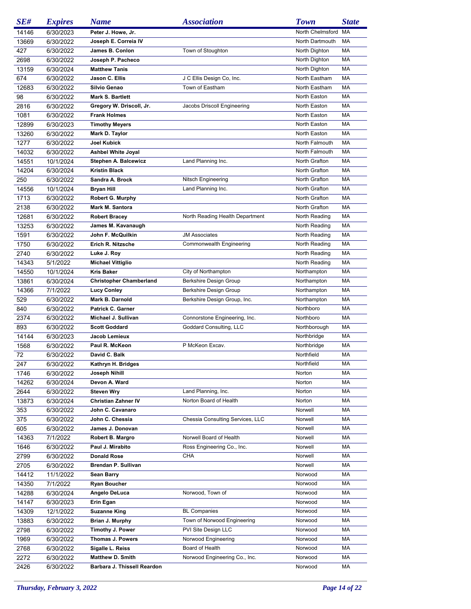| SE#   | <b>Expires</b> | <b>Name</b>                          | <b>Association</b>               | <b>Town</b>      | <b>State</b> |
|-------|----------------|--------------------------------------|----------------------------------|------------------|--------------|
| 14146 | 6/30/2023      | Peter J. Howe, Jr.                   |                                  | North Chelmsford | МA           |
| 13669 | 6/30/2022      | Joseph E. Correia IV                 |                                  | North Dartmouth  | MA           |
| 427   | 6/30/2022      | James B. Conlon                      | Town of Stoughton                | North Dighton    | MA           |
| 2698  | 6/30/2022      | Joseph P. Pacheco                    |                                  | North Dighton    | MA           |
| 13159 | 6/30/2024      | <b>Matthew Tanis</b>                 |                                  | North Dighton    | MA           |
| 674   | 6/30/2022      | Jason C. Ellis                       | J C Ellis Design Co, Inc.        | North Eastham    | МA           |
| 12683 | 6/30/2022      | Silvio Genao                         | Town of Eastham                  | North Eastham    | MA           |
| 98    | 6/30/2022      | Mark S. Bartlett                     |                                  | North Easton     | MA           |
| 2816  | 6/30/2022      | Gregory W. Driscoll, Jr.             | Jacobs Driscoll Engineering      | North Easton     | МA           |
| 1081  | 6/30/2022      | <b>Frank Holmes</b>                  |                                  | North Easton     | MA           |
|       |                |                                      |                                  | North Easton     | MA           |
| 12899 | 6/30/2023      | <b>Timothy Meyers</b>                |                                  |                  | MA           |
| 13260 | 6/30/2022      | Mark D. Taylor<br><b>Joel Kubick</b> |                                  | North Easton     |              |
| 1277  | 6/30/2022      |                                      |                                  | North Falmouth   | MA           |
| 14032 | 6/30/2022      | <b>Ashbel White Joyal</b>            |                                  | North Falmouth   | MA           |
| 14551 | 10/1/2024      | Stephen A. Balcewicz                 | Land Planning Inc.               | North Grafton    | MA           |
| 14204 | 6/30/2024      | <b>Kristin Black</b>                 |                                  | North Grafton    | MA           |
| 250   | 6/30/2022      | Sandra A. Brock                      | Nitsch Engineering               | North Grafton    | MA           |
| 14556 | 10/1/2024      | Bryan Hill                           | Land Planning Inc.               | North Grafton    | MA           |
| 1713  | 6/30/2022      | <b>Robert G. Murphy</b>              |                                  | North Grafton    | MA           |
| 2138  | 6/30/2022      | Mark M. Santora                      |                                  | North Grafton    | MA           |
| 12681 | 6/30/2022      | <b>Robert Bracey</b>                 | North Reading Health Department  | North Reading    | МA           |
| 13253 | 6/30/2022      | James M. Kavanaugh                   |                                  | North Reading    | MA           |
| 1591  | 6/30/2022      | John F. McQuilkin                    | <b>JM Associates</b>             | North Reading    | MA           |
| 1750  | 6/30/2022      | Erich R. Nitzsche                    | Commonwealth Engineering         | North Reading    | МA           |
| 2740  | 6/30/2022      | Luke J. Roy                          |                                  | North Reading    | MA           |
| 14343 | 5/1/2022       | <b>Michael Vittiglio</b>             |                                  | North Reading    | MA           |
| 14550 | 10/1/2024      | <b>Kris Baker</b>                    | City of Northampton              | Northampton      | MA           |
| 13861 | 6/30/2024      | <b>Christopher Chamberland</b>       | Berkshire Design Group           | Northampton      | MA           |
| 14366 | 7/1/2022       | <b>Lucy Conley</b>                   | Berkshire Design Group           | Northampton      | MA           |
| 529   | 6/30/2022      | Mark B. Darnold                      | Berkshire Design Group, Inc.     | Northampton      | МA           |
| 840   | 6/30/2022      | Patrick C. Garner                    |                                  | Northboro        | MA           |
| 2374  | 6/30/2022      | Michael J. Sullivan                  | Connorstone Engineering, Inc.    | Northboro        | MA           |
| 893   | 6/30/2022      | <b>Scott Goddard</b>                 | Goddard Consulting, LLC          | Northborough     | MA           |
| 14144 | 6/30/2023      | Jacob Lemieux                        |                                  | Northbridge      | MA           |
| 1568  | 6/30/2022      | Paul R. McKeon                       | P McKeon Excav.                  | Northbridge      | MA           |
| 72    | 6/30/2022      | David C. Balk                        |                                  | Northfield       | MA           |
| 247   |                | Kathryn H. Bridges                   |                                  | Northfield       | MA           |
|       | 6/30/2022      |                                      |                                  | Norton           | MA           |
| 1746  | 6/30/2022      | Joseph Nihill                        |                                  |                  |              |
| 14262 | 6/30/2024      | Devon A. Ward                        |                                  | Norton           | МA           |
| 2644  | 6/30/2022      | <b>Steven Wry</b>                    | Land Planning, Inc.              | Norton           | МA           |
| 13873 | 6/30/2024      | <b>Christian Zahner IV</b>           | Norton Board of Health           | Norton           | МA           |
| 353   | 6/30/2022      | John C. Cavanaro                     |                                  | Norwell          | МA           |
| 375   | 6/30/2022      | John C. Chessia                      | Chessia Consulting Services, LLC | Norwell          | МA           |
| 605   | 6/30/2022      | James J. Donovan                     |                                  | Norwell          | МA           |
| 14363 | 7/1/2022       | Robert B. Margro                     | Norwell Board of Health          | Norwell          | МA           |
| 1646  | 6/30/2022      | Paul J. Mirabito                     | Ross Engineering Co., Inc.       | Norwell          | МA           |
| 2799  | 6/30/2022      | <b>Donald Rose</b>                   | CHA                              | Norwell          | МA           |
| 2705  | 6/30/2022      | Brendan P. Sullivan                  |                                  | Norwell          | МA           |
| 14412 | 11/1/2022      | <b>Sean Barry</b>                    |                                  | Norwood          | МA           |
| 14350 | 7/1/2022       | <b>Ryan Boucher</b>                  |                                  | Norwood          | МA           |
| 14288 | 6/30/2024      | Angelo DeLuca                        | Norwood, Town of                 | Norwood          | МA           |
| 14147 | 6/30/2023      | Erin Egan                            |                                  | Norwood          | МA           |
| 14309 | 12/1/2022      | <b>Suzanne King</b>                  | <b>BL Companies</b>              | Norwood          | МA           |
| 13883 | 6/30/2022      | Brian J. Murphy                      | Town of Norwood Engineering      | Norwood          | MA           |
| 2798  | 6/30/2022      | Timothy J. Power                     | PVI Site Design LLC              | Norwood          | МA           |
| 1969  | 6/30/2022      | Thomas J. Powers                     | Norwood Engineering              | Norwood          | МA           |
| 2768  | 6/30/2022      | Sigalle L. Reiss                     | Board of Health                  | Norwood          | МA           |
| 2272  | 6/30/2022      | <b>Matthew D. Smith</b>              | Norwood Engineering Co., Inc.    | Norwood          | МA           |
| 2426  | 6/30/2022      | Barbara J. Thissell Reardon          |                                  | Norwood          | MA           |
|       |                |                                      |                                  |                  |              |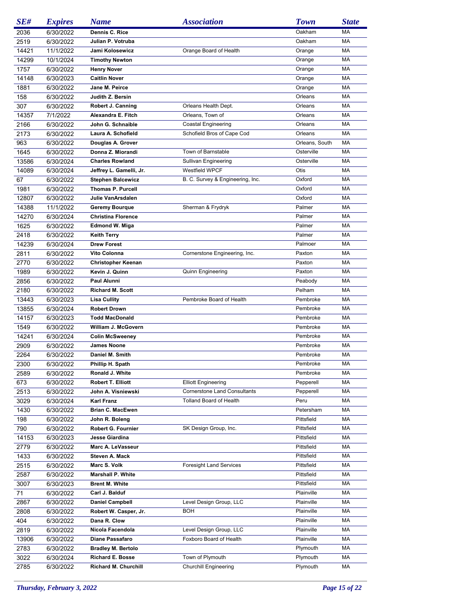| SE#   | <b>Expires</b> | <b>Name</b>               | <b>Association</b>                  | <b>Town</b>    | <b>State</b> |
|-------|----------------|---------------------------|-------------------------------------|----------------|--------------|
| 2036  | 6/30/2022      | Dennis C. Rice            |                                     | Oakham         | MA           |
| 2519  | 6/30/2022      | Julian P. Votruba         |                                     | Oakham         | МA           |
| 14421 | 11/1/2022      | Jami Kolosewicz           | Orange Board of Health              | Orange         | МA           |
| 14299 | 10/1/2024      | <b>Timothy Newton</b>     |                                     | Orange         | МA           |
| 1757  | 6/30/2022      | <b>Henry Nover</b>        |                                     | Orange         | МA           |
| 14148 | 6/30/2023      | <b>Caitlin Nover</b>      |                                     | Orange         | МA           |
| 1881  | 6/30/2022      | Jane M. Peirce            |                                     | Orange         | МA           |
| 158   | 6/30/2022      | Judith Z. Bersin          |                                     | Orleans        | МA           |
| 307   | 6/30/2022      | Robert J. Canning         | Orleans Health Dept.                | Orleans        | МA           |
| 14357 | 7/1/2022       | Alexandra E. Fitch        | Orleans, Town of                    | Orleans        | МA           |
| 2166  | 6/30/2022      | John G. Schnaible         | <b>Coastal Engineering</b>          | Orleans        | МA           |
| 2173  | 6/30/2022      | Laura A. Schofield        | Schofield Bros of Cape Cod          | Orleans        | MA           |
| 963   | 6/30/2022      | Douglas A. Grover         |                                     | Orleans, South | МA           |
| 1645  | 6/30/2022      | Donna Z. Miorandi         | Town of Barnstable                  | Osterville     | МA           |
| 13586 | 6/30/2024      | <b>Charles Rowland</b>    | <b>Sullivan Engineering</b>         | Osterville     | МA           |
| 14089 | 6/30/2024      | Jeffrey L. Gamelli, Jr.   | Westfield WPCF                      | Otis           | МA           |
| 67    | 6/30/2022      | <b>Stephen Balcewicz</b>  | B. C. Survey & Engineering, Inc.    | Oxford         | МA           |
| 1981  | 6/30/2022      | <b>Thomas P. Purcell</b>  |                                     | Oxford         | МA           |
| 12807 | 6/30/2022      | Julie VanArsdalen         |                                     | Oxford         | MA           |
| 14388 | 11/1/2022      | <b>Geremy Bourque</b>     | Sherman & Frydryk                   | Palmer         | MA           |
| 14270 | 6/30/2024      | <b>Christina Florence</b> |                                     | Palmer         | МA           |
| 1625  | 6/30/2022      | <b>Edmond W. Miga</b>     |                                     | Palmer         | МA           |
| 2418  | 6/30/2022      | <b>Keith Terry</b>        |                                     | Palmer         | MA           |
| 14239 | 6/30/2024      | <b>Drew Forest</b>        |                                     | Palmoer        | MA           |
| 2811  | 6/30/2022      | Vito Colonna              | Cornerstone Engineering, Inc.       | Paxton         | MA           |
| 2770  | 6/30/2022      | <b>Christopher Keenan</b> |                                     | Paxton         | МA           |
| 1989  | 6/30/2022      | Kevin J. Quinn            | <b>Quinn Engineering</b>            | Paxton         | MA           |
| 2856  | 6/30/2022      | <b>Paul Alunni</b>        |                                     | Peabody        | MA           |
| 2180  | 6/30/2022      | <b>Richard M. Scott</b>   |                                     | Pelham         | MA           |
| 13443 | 6/30/2023      | <b>Lisa Cullity</b>       | Pembroke Board of Health            | Pembroke       | MA           |
| 13855 | 6/30/2024      | <b>Robert Drown</b>       |                                     | Pembroke       | MA           |
| 14157 | 6/30/2023      | <b>Todd MacDonald</b>     |                                     | Pembroke       | MA           |
| 1549  | 6/30/2022      | William J. McGovern       |                                     | Pembroke       | MA           |
| 14241 | 6/30/2024      | <b>Colin McSweeney</b>    |                                     | Pembroke       | МA           |
| 2909  | 6/30/2022      | <b>James Noone</b>        |                                     | Pembroke       | MA           |
| 2264  | 6/30/2022      | Daniel M. Smith           |                                     | Pembroke       | MA           |
| 2300  | 6/30/2022      | Phillip H. Spath          |                                     | Pembroke       | MA           |
| 2589  | 6/30/2022      | Ronald J. White           |                                     | Pembroke       | МA           |
| 673   | 6/30/2022      | Robert T. Elliott         | <b>Elliott Engineering</b>          | Pepperell      | МA           |
| 2513  | 6/30/2022      | John A. Visniewski        | <b>Cornerstone Land Consultants</b> | Pepperell      | МA           |
| 3029  | 6/30/2024      | Karl Franz                | <b>Tolland Board of Health</b>      | Peru           | МA           |
| 1430  | 6/30/2022      | <b>Brian C. MacEwen</b>   |                                     | Petersham      | МA           |
| 198   | 6/30/2022      | John R. Boleng            |                                     | Pittsfield     | MA           |
| 790   | 6/30/2022      | Robert G. Fournier        | SK Design Group, Inc.               | Pittsfield     | МA           |
| 14153 | 6/30/2023      | <b>Jesse Giardina</b>     |                                     | Pittsfield     | MA           |
| 2779  | 6/30/2022      | Marc A. LeVasseur         |                                     | Pittsfield     | MA           |
| 1433  | 6/30/2022      | Steven A. Mack            |                                     | Pittsfield     | MA           |
| 2515  | 6/30/2022      | Marc S. Volk              | <b>Foresight Land Services</b>      | Pittsfield     | МA           |
| 2587  | 6/30/2022      | <b>Marshall P. White</b>  |                                     | Pittsfield     | MA           |
| 3007  | 6/30/2023      | <b>Brent M. White</b>     |                                     | Pittsfield     | MA           |
| 71    | 6/30/2022      | Carl J. Balduf            |                                     | Plainville     | МA           |
| 2867  | 6/30/2022      | <b>Daniel Campbell</b>    | Level Design Group, LLC             | Plainville     | МA           |
| 2808  | 6/30/2022      | Robert W. Casper, Jr.     | BOH                                 | Plainville     | МA           |
| 404   | 6/30/2022      | Dana R. Clow              |                                     | Plainville     | МA           |
| 2819  | 6/30/2022      | Nicola Facendola          | Level Design Group, LLC             | Plainville     | МA           |
| 13906 | 6/30/2022      | Diane Passafaro           | Foxboro Board of Health             | Plainville     | МA           |
| 2783  | 6/30/2022      | <b>Bradley M. Bertolo</b> |                                     | Plymouth       | МA           |
| 3022  | 6/30/2024      | <b>Richard E. Bosse</b>   | Town of Plymouth                    | Plymouth       | МA           |
| 2785  | 6/30/2022      | Richard M. Churchill      | <b>Churchill Engineering</b>        | Plymouth       | МA           |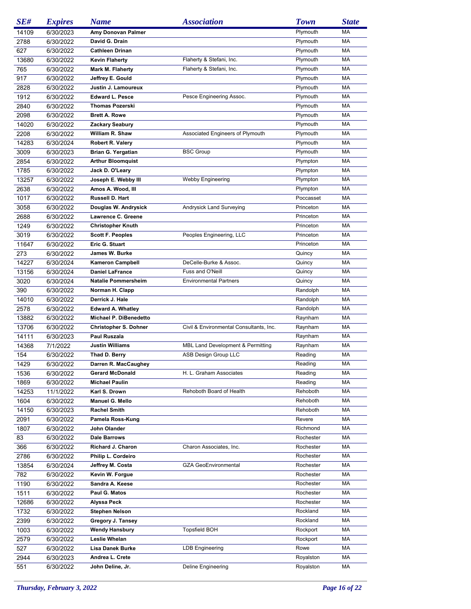| SE#   | <b>Expires</b> | <b>Name</b>                  | <i><b>Association</b></i>               | <b>Town</b> | <b>State</b> |
|-------|----------------|------------------------------|-----------------------------------------|-------------|--------------|
| 14109 | 6/30/2023      | Amy Donovan Palmer           |                                         | Plymouth    | МA           |
| 2788  | 6/30/2022      | David G. Drain               |                                         | Plymouth    | MA           |
| 627   | 6/30/2022      | <b>Cathleen Drinan</b>       |                                         | Plymouth    | MA           |
| 13680 | 6/30/2022      | <b>Kevin Flaherty</b>        | Flaherty & Stefani, Inc.                | Plymouth    | MA           |
| 765   | 6/30/2022      | <b>Mark M. Flaherty</b>      | Flaherty & Stefani, Inc.                | Plymouth    | MA           |
| 917   | 6/30/2022      | Jeffrey E. Gould             |                                         | Plymouth    | МA           |
| 2828  | 6/30/2022      | Justin J. Lamoureux          |                                         | Plymouth    | MA           |
| 1912  | 6/30/2022      | <b>Edward L. Pesce</b>       | Pesce Engineering Assoc.                | Plymouth    | MA           |
| 2840  | 6/30/2022      | <b>Thomas Pozerski</b>       |                                         | Plymouth    | MA           |
| 2098  | 6/30/2022      | <b>Brett A. Rowe</b>         |                                         | Plymouth    | MA           |
| 14020 | 6/30/2022      | <b>Zackary Seabury</b>       |                                         | Plymouth    | МA           |
| 2208  | 6/30/2022      | William R. Shaw              | Associated Engineers of Plymouth        | Plymouth    | MA           |
| 14283 | 6/30/2024      | Robert R. Valery             |                                         | Plymouth    | MA           |
| 3009  | 6/30/2023      | Brian G. Yergatian           | <b>BSC Group</b>                        | Plymouth    | MA           |
| 2854  | 6/30/2022      | <b>Arthur Bloomquist</b>     |                                         | Plympton    | MA           |
| 1785  | 6/30/2022      | Jack D. O'Leary              |                                         | Plympton    | МA           |
| 13257 | 6/30/2022      | Joseph E. Webby III          | <b>Webby Engineering</b>                | Plympton    | MA           |
| 2638  | 6/30/2022      | Amos A. Wood, III            |                                         | Plympton    | MA           |
| 1017  | 6/30/2022      | Russell D. Hart              |                                         | Poccasset   | MA           |
| 3058  | 6/30/2022      | Douglas W. Andrysick         | Andrysick Land Surveying                | Princeton   | MA           |
| 2688  | 6/30/2022      | Lawrence C. Greene           |                                         | Princeton   | МA           |
| 1249  | 6/30/2022      | <b>Christopher Knuth</b>     |                                         | Princeton   | MA           |
| 3019  | 6/30/2022      | <b>Scott F. Peoples</b>      | Peoples Engineering, LLC                | Princeton   | MA           |
| 11647 | 6/30/2022      | Eric G. Stuart               |                                         | Princeton   | MA           |
| 273   | 6/30/2022      | James W. Burke               |                                         | Quincy      | МA           |
| 14227 | 6/30/2024      | <b>Kameron Campbell</b>      | DeCelle-Burke & Assoc.                  | Quincy      | МA           |
| 13156 | 6/30/2024      | <b>Daniel LaFrance</b>       | Fuss and O'Neill                        | Quincy      | MA           |
| 3020  | 6/30/2024      | <b>Natalie Pommersheim</b>   | <b>Environmental Partners</b>           | Quincy      | MA           |
| 390   | 6/30/2022      | Norman H. Clapp              |                                         | Randolph    | MA           |
| 14010 | 6/30/2022      | Derrick J. Hale              |                                         | Randolph    | МA           |
| 2578  | 6/30/2022      | <b>Edward A. Whatley</b>     |                                         | Randolph    | МA           |
| 13882 | 6/30/2022      | Michael P. DiBenedetto       |                                         | Raynham     | MA           |
| 13706 | 6/30/2022      | <b>Christopher S. Dohner</b> | Civil & Environmental Consultants, Inc. | Raynham     | MA           |
| 14111 | 6/30/2023      | Paul Ruszala                 |                                         | Raynham     | MA           |
| 14368 | 7/1/2022       | <b>Justin Williams</b>       | MBL Land Development & Permitting       | Raynham     | MA           |
| 154   | 6/30/2022      | Thad D. Berry                | ASB Design Group LLC                    | Reading     | МA           |
| 1429  | 6/30/2022      | Darren R. MacCaughey         |                                         | Reading     | MA           |
| 1536  | 6/30/2022      | <b>Gerard McDonald</b>       | H. L. Graham Associates                 | Reading     | МA           |
| 1869  | 6/30/2022      | <b>Michael Paulin</b>        |                                         | Reading     | МA           |
| 14253 | 11/1/2022      | Karl S. Drown                | Rehoboth Board of Health                | Rehoboth    | МA           |
| 1604  | 6/30/2022      | Manuel G. Mello              |                                         | Rehoboth    | МA           |
| 14150 | 6/30/2023      | <b>Rachel Smith</b>          |                                         | Rehoboth    | МA           |
| 2091  | 6/30/2022      | Pamela Ross-Kung             |                                         | Revere      | МA           |
| 1807  | 6/30/2022      | John Olander                 |                                         | Richmond    | МA           |
| 83    | 6/30/2022      | <b>Dale Barrows</b>          |                                         | Rochester   | МA           |
| 366   | 6/30/2022      | Richard J. Charon            | Charon Associates, Inc.                 | Rochester   | МA           |
| 2786  | 6/30/2022      | Philip L. Cordeiro           |                                         | Rochester   | МA           |
| 13854 | 6/30/2024      | Jeffrey M. Costa             | <b>GZA GeoEnvironmental</b>             | Rochester   | МA           |
| 782   | 6/30/2022      | Kevin W. Forgue              |                                         | Rochester   | МA           |
| 1190  | 6/30/2022      | Sandra A. Keese              |                                         | Rochester   | МA           |
| 1511  | 6/30/2022      | Paul G. Matos                |                                         | Rochester   | МA           |
| 12686 | 6/30/2022      | Alyssa Peck                  |                                         | Rochester   | МA           |
| 1732  | 6/30/2022      | <b>Stephen Nelson</b>        |                                         | Rockland    | МA           |
| 2399  | 6/30/2022      | Gregory J. Tansey            |                                         | Rockland    | МA           |
| 1003  | 6/30/2022      | <b>Wendy Hansbury</b>        | <b>Topsfield BOH</b>                    | Rockport    | МA           |
| 2579  | 6/30/2022      | Leslie Whelan                |                                         | Rockport    | МA           |
| 527   | 6/30/2022      | <b>Lisa Danek Burke</b>      | LDB Engineering                         | Rowe        | МA           |
| 2944  |                | Andrea L. Crete              |                                         | Royalston   | МA           |
| 551   | 6/30/2023      | John Deline, Jr.             | Deline Engineering                      | Royalston   | МA           |
|       | 6/30/2022      |                              |                                         |             |              |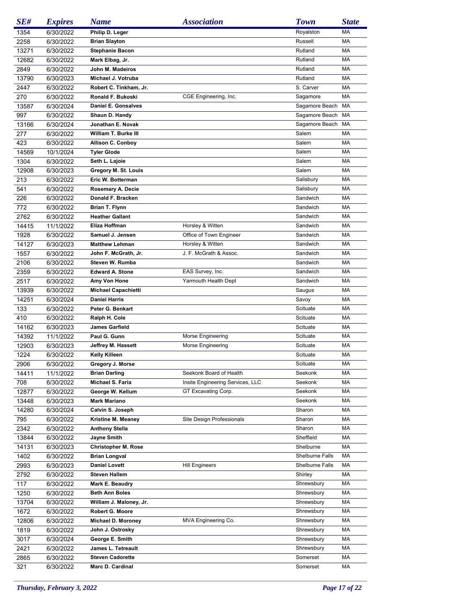| SE#   | <b>Expires</b> | <b>Name</b>                | <b>Association</b>                     | <b>Town</b>       | <b>State</b> |
|-------|----------------|----------------------------|----------------------------------------|-------------------|--------------|
| 1354  | 6/30/2022      | Philip D. Leger            |                                        | Royalston         | MA           |
| 2258  | 6/30/2022      | <b>Brian Slayton</b>       |                                        | Russell           | МA           |
| 13271 | 6/30/2022      | <b>Stephanie Bacon</b>     |                                        | Rutland           | MA           |
| 12682 | 6/30/2022      | Mark Elbag, Jr.            |                                        | Rutland           | МA           |
| 2849  | 6/30/2022      | John M. Madeiros           |                                        | Rutland           | МA           |
| 13790 | 6/30/2023      | Michael J. Votruba         |                                        | Rutland           | МA           |
| 2447  | 6/30/2022      | Robert C. Tinkham, Jr.     |                                        | S. Carver         | MA           |
| 270   | 6/30/2022      | Ronald F. Bukoski          | CGE Engineering, Inc.                  | Sagamore          | МA           |
| 13587 | 6/30/2024      | <b>Daniel E. Gonsalves</b> |                                        | Sagamore Beach    | МA           |
| 997   | 6/30/2022      | Shaun D. Handy             |                                        | Sagamore Beach MA |              |
| 13166 | 6/30/2024      | Jonathan E. Novak          |                                        | Sagamore Beach MA |              |
|       |                | William T. Burke III       |                                        |                   | МA           |
| 277   | 6/30/2022      |                            |                                        | Salem             |              |
| 423   | 6/30/2022      | <b>Allison C. Conboy</b>   |                                        | Salem             | МA           |
| 14569 | 10/1/2024      | <b>Tyler Glode</b>         |                                        | Salem             | МA           |
| 1304  | 6/30/2022      | Seth L. Lajoie             |                                        | Salem             | МA           |
| 12908 | 6/30/2023      | Gregory M. St. Louis       |                                        | Salem             | МA           |
| 213   | 6/30/2022      | Eric W. Botterman          |                                        | Salisbury         | МA           |
| 541   | 6/30/2022      | Rosemary A. Decie          |                                        | Salisbury         | МA           |
| 226   | 6/30/2022      | Donald F. Bracken          |                                        | Sandwich          | МA           |
| 772   | 6/30/2022      | Brian T. Flynn             |                                        | Sandwich          | МA           |
| 2762  | 6/30/2022      | <b>Heather Gallant</b>     |                                        | Sandwich          | МA           |
| 14415 | 11/1/2022      | Eliza Hoffman              | Horsley & Witten                       | Sandwich          | МA           |
| 1928  | 6/30/2022      | Samuel J. Jensen           | Office of Town Engineer                | Sandwich          | МA           |
| 14127 | 6/30/2023      | <b>Matthew Lehman</b>      | Horsley & Witten                       | Sandwich          | МA           |
| 1557  | 6/30/2022      | John F. McGrath, Jr.       | J. F. McGrath & Assoc.                 | Sandwich          | МA           |
| 2106  | 6/30/2022      | Steven W. Rumba            |                                        | Sandwich          | МA           |
| 2359  | 6/30/2022      | <b>Edward A. Stone</b>     | EAS Survey, Inc.                       | Sandwich          | МA           |
| 2517  | 6/30/2022      | Amy Von Hone               | Yarmouth Health Dept                   | Sandwich          | МA           |
| 13939 | 6/30/2022      | <b>Michael Capachietti</b> |                                        | Saugus            | МA           |
| 14251 | 6/30/2024      | <b>Daniel Harris</b>       |                                        | Savoy             | МA           |
| 133   | 6/30/2022      | Peter G. Benkart           |                                        | Scituate          | МA           |
| 410   | 6/30/2022      | Ralph H. Cole              |                                        | Scituate          | МA           |
| 14162 | 6/30/2023      | <b>James Garfield</b>      |                                        | Scituate          | МA           |
| 14392 | 11/1/2022      | Paul G. Gunn               |                                        | Scituate          | МA           |
| 12903 |                |                            | Morse Engineering<br>Morse Engineering | Scituate          | MA           |
|       | 6/30/2023      | Jeffrey M. Hassett         |                                        |                   | MA           |
| 1224  | 6/30/2022      | Kelly Killeen              |                                        | Scituate          |              |
| 2906  | 6/30/2022      | Gregory J. Morse           |                                        | Scituate          | MA           |
| 14411 | 11/1/2022      | <b>Brian Darling</b>       | Seekonk Board of Health                | Seekonk           | МA           |
| 708   | 6/30/2022      | Michael S. Faria           | Insite Engineering Services, LLC       | Seekonk           | МA           |
| 12877 | 6/30/2022      | George W. Kellum           | GT Excavating Corp.                    | Seekonk           | МA           |
| 13448 | 6/30/2023      | <b>Mark Mariano</b>        |                                        | Seekonk           | МA           |
| 14280 | 6/30/2024      | Calvin S. Joseph           |                                        | Sharon            | МA           |
| 795   | 6/30/2022      | Kristine M. Meaney         | Site Design Professionals              | Sharon            | МA           |
| 2342  | 6/30/2022      | <b>Anthony Stella</b>      |                                        | Sharon            | МA           |
| 13844 | 6/30/2022      | Jayne Smith                |                                        | Sheffield         | МA           |
| 14131 | 6/30/2023      | <b>Christopher M. Rose</b> |                                        | Shelburne         | МA           |
| 1402  | 6/30/2022      | <b>Brian Longval</b>       |                                        | Shelburne Falls   | МA           |
| 2993  | 6/30/2023      | <b>Daniel Lovett</b>       | Hill Engineers                         | Shelburne Falls   | МA           |
| 2792  | 6/30/2022      | <b>Steven Hallem</b>       |                                        | Shirley           | МA           |
| 117   | 6/30/2022      | Mark E. Beaudry            |                                        | Shrewsbury        | МA           |
| 1250  | 6/30/2022      | <b>Beth Ann Boles</b>      |                                        | Shrewsbury        | МA           |
| 13704 | 6/30/2022      | William J. Maloney, Jr.    |                                        | Shrewsbury        | МA           |
| 1672  | 6/30/2022      | <b>Robert G. Moore</b>     |                                        | Shrewsbury        | МA           |
| 12806 | 6/30/2022      | Michael D. Moroney         | MVA Engineering Co.                    | Shrewsbury        | МA           |
| 1819  | 6/30/2022      | John J. Ostrosky           |                                        | Shrewsbury        | МA           |
| 3017  | 6/30/2024      | George E. Smith            |                                        | Shrewsbury        | МA           |
| 2421  | 6/30/2022      | James L. Tetreault         |                                        | Shrewsbury        | МA           |
| 2865  | 6/30/2022      | <b>Steven Cadorette</b>    |                                        | Somerset          | МA           |
| 321   | 6/30/2022      | Marc D. Cardinal           |                                        | Somerset          | MA           |
|       |                |                            |                                        |                   |              |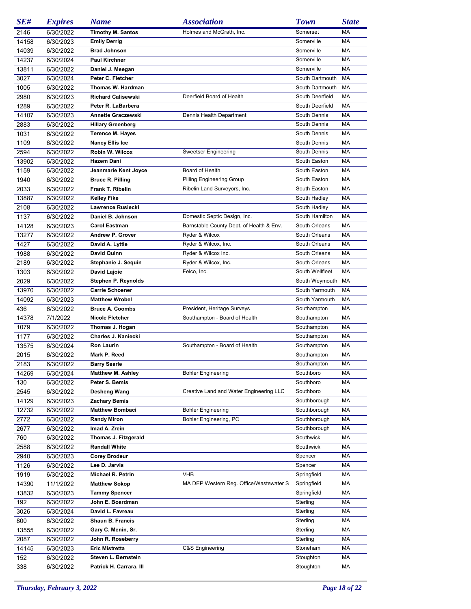| SE#         | <b>Expires</b>         | <b>Name</b>                              | <b>Association</b>                       | <b>Town</b>          | <b>State</b> |
|-------------|------------------------|------------------------------------------|------------------------------------------|----------------------|--------------|
| 2146        | 6/30/2022              | <b>Timothy M. Santos</b>                 | Holmes and McGrath, Inc.                 | Somerset             | МA           |
| 14158       | 6/30/2023              | <b>Emily Derrig</b>                      |                                          | Somerville           | MA           |
| 14039       | 6/30/2022              | <b>Brad Johnson</b>                      |                                          | Somerville           | MA           |
| 14237       | 6/30/2024              | <b>Paul Kirchner</b>                     |                                          | Somerville           | MA           |
| 13811       | 6/30/2022              | Daniel J. Meegan                         |                                          | Somerville           | MA           |
| 3027        | 6/30/2024              | Peter C. Fletcher                        |                                          | South Dartmouth      | MA           |
| 1005        | 6/30/2022              | Thomas W. Hardman                        |                                          | South Dartmouth      | MA           |
| 2980        | 6/30/2023              | <b>Richard Calisewski</b>                | Deerfield Board of Health                | South Deerfield      | MA           |
| 1289        | 6/30/2022              | Peter R. LaBarbera                       |                                          | South Deerfield      | MA           |
| 14107       | 6/30/2023              | <b>Annette Graczewski</b>                | Dennis Health Department                 | South Dennis         | MA           |
| 2883        | 6/30/2022              | <b>Hillary Greenberg</b>                 |                                          | South Dennis         | MA           |
| 1031        | 6/30/2022              | <b>Terence M. Hayes</b>                  |                                          | South Dennis         | MA           |
| 1109        | 6/30/2022              | <b>Nancy Ellis Ice</b>                   |                                          | South Dennis         | MA           |
| 2594        | 6/30/2022              | Robin W. Wilcox                          | Sweetser Engineering                     | South Dennis         | MA           |
| 13902       | 6/30/2022              | Hazem Dani                               |                                          | South Easton         | MA           |
| 1159        | 6/30/2022              | Jeanmarie Kent Joyce                     | Board of Health                          | South Easton         | MA           |
| 1940        | 6/30/2022              | <b>Bruce R. Pilling</b>                  | Pilling Engineering Group                | South Easton         | MA           |
| 2033        | 6/30/2022              | Frank T. Ribelin                         | Ribelin Land Surveyors, Inc.             | South Easton         | MA           |
| 13887       | 6/30/2022              | <b>Kelley Fike</b>                       |                                          | South Hadley         | MA           |
| 2108        | 6/30/2022              | Lawrence Rusiecki                        |                                          | South Hadley         | MA           |
| 1137        | 6/30/2022              | Daniel B. Johnson                        | Domestic Septic Design, Inc.             | South Hamilton       | MA           |
| 14128       | 6/30/2023              | <b>Carol Eastman</b>                     | Barnstable County Dept. of Health & Env. | South Orleans        | MA           |
| 13277       | 6/30/2022              | Andrew P. Grover                         | Ryder & Wilcox                           | South Orleans        | МA           |
| 1427        | 6/30/2022              | David A. Lyttle                          | Ryder & Wilcox, Inc.                     | South Orleans        | MA           |
| 1988        | 6/30/2022              | <b>David Quinn</b>                       | Ryder & Wilcox Inc.                      | South Orleans        | МA           |
| 2189        | 6/30/2022              | Stephanie J. Sequin                      | Ryder & Wilcox, Inc.                     | South Orleans        | MA           |
| 1303        | 6/30/2022              | David Lajoie                             | Felco, Inc.                              | South Wellfleet      | MA           |
| 2029        | 6/30/2022              | Stephen P. Reynolds                      |                                          | South Weymouth       | MA           |
| 13970       | 6/30/2022              | <b>Carrie Schoener</b>                   |                                          | South Yarmouth       | MA           |
| 14092       | 6/30/2023              | <b>Matthew Wrobel</b>                    |                                          | South Yarmouth       | MA           |
| 436         | 6/30/2022              | <b>Bruce A. Coombs</b>                   | President, Heritage Surveys              | Southampton          | МA           |
| 14378       | 7/1/2022               | <b>Nicole Fletcher</b>                   | Southampton - Board of Health            | Southampton          | MA           |
| 1079        | 6/30/2022              | Thomas J. Hogan                          |                                          | Southampton          | MA           |
| 1177        | 6/30/2022              | Charles J. Kaniecki                      |                                          | Southampton          | MA           |
| 13575       | 6/30/2024              | <b>Ron Laurin</b>                        | Southampton - Board of Health            | Southampton          | MA           |
| 2015        | 6/30/2022              | Mark P. Reed                             |                                          | Southampton          | MA           |
| 2183        | 6/30/2022              | <b>Barry Searle</b>                      |                                          | Southampton          | MA           |
| 14269       | 6/30/2024              | <b>Matthew M. Ashley</b>                 | <b>Bohler Engineering</b>                | Southboro            | МA           |
| 130         | 6/30/2022              | Peter S. Bemis                           |                                          | Southboro            | МA           |
| 2545        | 6/30/2022              | Desheng Wang                             | Creative Land and Water Engineering LLC  | Southboro            | МA           |
| 14129       | 6/30/2023              | <b>Zachary Bemis</b>                     |                                          | Southborough         | МA           |
| 12732       | 6/30/2022              | <b>Matthew Bombaci</b>                   | <b>Bohler Engineering</b>                | Southborough         | МA           |
| 2772        | 6/30/2022              | <b>Randy Miron</b>                       | Bohler Engineering, PC                   | Southborough         | МA           |
| 2677        | 6/30/2022              | Imad A. Zrein                            |                                          | Southborough         | МA           |
| 760         | 6/30/2022              | Thomas J. Fitzgerald                     |                                          | Southwick            | МA           |
| 2588        | 6/30/2022              | <b>Randall White</b>                     |                                          | Southwick            | МA           |
| 2940        | 6/30/2023              | <b>Corey Brodeur</b>                     |                                          | Spencer              | МA           |
| 1126        | 6/30/2022              | Lee D. Jarvis                            |                                          | Spencer              | МA           |
| 1919        | 6/30/2022              | <b>Michael R. Petrin</b>                 | VHB                                      | Springfield          | МA           |
| 14390       | 11/1/2022              | <b>Matthew Sokop</b>                     | MA DEP Western Reg. Office/Wastewater S  | Springfield          | МA           |
| 13832       | 6/30/2023              | <b>Tammy Spencer</b><br>John E. Boardman |                                          | Springfield          | МA           |
| 192<br>3026 | 6/30/2022              | David L. Favreau                         |                                          | Sterling<br>Sterling | МA<br>МA     |
| 800         | 6/30/2024<br>6/30/2022 | Shaun B. Francis                         |                                          | Sterling             | МA           |
| 13555       | 6/30/2022              | Gary C. Menin, Sr.                       |                                          | Sterling             | МA           |
| 2087        | 6/30/2022              | John R. Roseberry                        |                                          | Sterling             | МA           |
| 14145       | 6/30/2023              | <b>Eric Mistretta</b>                    | C&S Engineering                          | Stoneham             | МA           |
| 152         | 6/30/2022              | Steven L. Bernstein                      |                                          | Stoughton            | МA           |
| 338         | 6/30/2022              | Patrick H. Carrara, III                  |                                          | Stoughton            | МA           |
|             |                        |                                          |                                          |                      |              |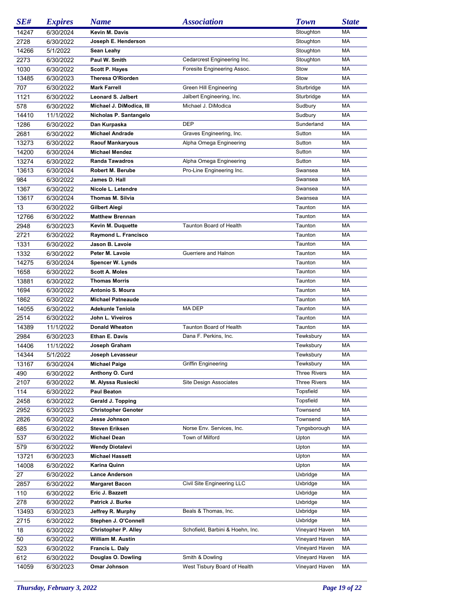| SE#   | <b>Expires</b> | <b>Name</b>                 | <b>Association</b>               | <b>Town</b>         | <b>State</b> |
|-------|----------------|-----------------------------|----------------------------------|---------------------|--------------|
| 14247 | 6/30/2024      | Kevin M. Davis              |                                  | Stoughton           | МA           |
| 2728  | 6/30/2022      | Joseph E. Henderson         |                                  | Stoughton           | MA           |
| 14266 | 5/1/2022       | Sean Leahy                  |                                  | Stoughton           | MA           |
| 2273  | 6/30/2022      | Paul W. Smith               | Cedarcrest Engineering Inc.      | Stoughton           | MA           |
| 1030  | 6/30/2022      | <b>Scott P. Hayes</b>       | Foresite Engineering Assoc.      | Stow                | MA           |
| 13485 | 6/30/2023      | <b>Theresa O'Riorden</b>    |                                  | Stow                | MA           |
| 707   | 6/30/2022      | <b>Mark Farrell</b>         | Green Hill Engineering           | Sturbridge          | MA           |
| 1121  | 6/30/2022      | <b>Leonard S. Jalbert</b>   | Jalbert Engineering, Inc.        | Sturbridge          | МA           |
| 578   | 6/30/2022      | Michael J. DiModica, III    | Michael J. DiModica              | Sudbury             | MA           |
| 14410 | 11/1/2022      | Nicholas P. Santangelo      |                                  | Sudbury             | MA           |
| 1286  | 6/30/2022      | Dan Kurpaska                | <b>DEP</b>                       | Sunderland          | MA           |
| 2681  | 6/30/2022      | <b>Michael Andrade</b>      | Graves Engineering, Inc.         | Sutton              | MA           |
| 13273 | 6/30/2022      | <b>Raouf Mankaryous</b>     | Alpha Omega Engineering          | Sutton              | MA           |
| 14200 | 6/30/2024      | <b>Michael Mendez</b>       |                                  | Sutton              | МA           |
| 13274 | 6/30/2022      | <b>Randa Tawadros</b>       | Alpha Omega Engineering          | Sutton              | МA           |
| 13613 | 6/30/2024      | <b>Robert M. Berube</b>     | Pro-Line Engineering Inc.        | Swansea             | МA           |
|       |                | James D. Hall               |                                  | Swansea             | MA           |
| 984   | 6/30/2022      |                             |                                  | Swansea             | MA           |
| 1367  | 6/30/2022      | Nicole L. Letendre          |                                  |                     |              |
| 13617 | 6/30/2024      | <b>Thomas M. Silvia</b>     |                                  | Swansea             | MA           |
| 13    | 6/30/2022      | Gilbert Alegi               |                                  | Taunton             | MA           |
| 12766 | 6/30/2022      | <b>Matthew Brennan</b>      |                                  | Taunton             | МA           |
| 2948  | 6/30/2023      | Kevin M. Duquette           | Taunton Board of Health          | Taunton             | МA           |
| 2721  | 6/30/2022      | Raymond L. Francisco        |                                  | Taunton             | МA           |
| 1331  | 6/30/2022      | Jason B. Lavoie             |                                  | Taunton             | MA           |
| 1332  | 6/30/2022      | Peter M. Lavoie             | Guerriere and Halnon             | Taunton             | MA           |
| 14275 | 6/30/2024      | <b>Spencer W. Lynds</b>     |                                  | Taunton             | MA           |
| 1658  | 6/30/2022      | <b>Scott A. Moles</b>       |                                  | Taunton             | МA           |
| 13881 | 6/30/2022      | <b>Thomas Morris</b>        |                                  | Taunton             | МA           |
| 1694  | 6/30/2022      | Antonio S. Moura            |                                  | Taunton             | МA           |
| 1862  | 6/30/2022      | <b>Michael Patneaude</b>    |                                  | Taunton             | MA           |
| 14055 | 6/30/2022      | <b>Adekunle Teniola</b>     | MA DEP                           | Taunton             | MA           |
| 2514  | 6/30/2022      | John L. Viveiros            |                                  | Taunton             | MA           |
| 14389 | 11/1/2022      | <b>Donald Wheaton</b>       | <b>Taunton Board of Health</b>   | Taunton             | MA           |
| 2984  | 6/30/2023      | <b>Ethan E. Davis</b>       | Dana F. Perkins, Inc.            | Tewksbury           | MA           |
| 14406 | 11/1/2022      | Joseph Graham               |                                  | Tewksbury           | МA           |
| 14344 | 5/1/2022       | Joseph Levasseur            |                                  | Tewksbury           | MA           |
| 13167 | 6/30/2024      | <b>Michael Paige</b>        | Griffin Engineering              | Tewksbury           | MA           |
| 490   | 6/30/2022      | Anthony O. Curd             |                                  | <b>Three Rivers</b> | МA           |
| 2107  | 6/30/2022      | M. Alyssa Rusiecki          | Site Design Associates           | <b>Three Rivers</b> | МA           |
| 114   | 6/30/2022      | <b>Paul Beaton</b>          |                                  | Topsfield           | МA           |
| 2458  | 6/30/2022      | Gerald J. Topping           |                                  | Topsfield           | МA           |
| 2952  | 6/30/2023      | <b>Christopher Genoter</b>  |                                  | Townsend            | МA           |
| 2826  | 6/30/2022      | Jesse Johnson               |                                  | Townsend            | МA           |
| 685   | 6/30/2022      | <b>Steven Eriksen</b>       | Norse Env. Services, Inc.        | Tyngsborough        | МA           |
| 537   | 6/30/2022      | <b>Michael Dean</b>         | Town of Milford                  | Upton               | МA           |
| 579   | 6/30/2022      | <b>Wendy Diotalevi</b>      |                                  | Upton               | МA           |
| 13721 | 6/30/2023      | <b>Michael Hassett</b>      |                                  | Upton               | МA           |
| 14008 | 6/30/2022      | Karina Quinn                |                                  | Upton               | МA           |
| 27    | 6/30/2022      | <b>Lance Anderson</b>       |                                  | Uxbridge            | МA           |
| 2857  | 6/30/2022      | <b>Margaret Bacon</b>       | Civil Site Engineering LLC       | Uxbridge            | МA           |
| 110   | 6/30/2022      | Eric J. Bazzett             |                                  | Uxbridge            | МA           |
| 278   |                | Patrick J. Burke            |                                  | Uxbridge            | МA           |
|       | 6/30/2022      |                             |                                  |                     |              |
| 13493 | 6/30/2023      | Jeffrey R. Murphy           | Beals & Thomas, Inc.             | Uxbridge            | МA           |
| 2715  | 6/30/2022      | Stephen J. O'Connell        |                                  | Uxbridge            | МA           |
| 18    | 6/30/2022      | <b>Christopher P. Alley</b> | Schofield, Barbini & Hoehn, Inc. | Vineyard Haven      | МA           |
| 50    | 6/30/2022      | William M. Austin           |                                  | Vineyard Haven      | МA           |
| 523   | 6/30/2022      | Francis L. Daly             |                                  | Vineyard Haven      | МA           |
| 612   | 6/30/2022      | Douglas O. Dowling          | Smith & Dowling                  | Vineyard Haven      | МA           |
| 14059 | 6/30/2023      | Omar Johnson                | West Tisbury Board of Health     | Vineyard Haven      | МA           |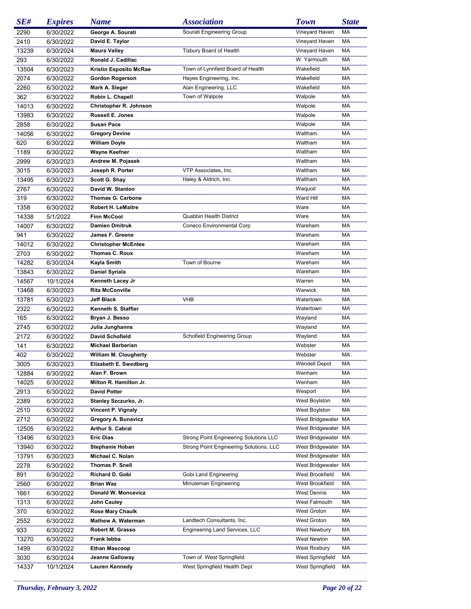| SE#   | <b>Expires</b> | <b>Name</b>                   | <b>Association</b>                      | <b>Town</b>          | <b>State</b> |
|-------|----------------|-------------------------------|-----------------------------------------|----------------------|--------------|
| 2290  | 6/30/2022      | George A. Sourati             | Sourati Engineering Group               | Vineyard Haven       | MA           |
| 2410  | 6/30/2022      | David E. Taylor               |                                         | Vineyard Haven       | MA           |
| 13239 | 6/30/2024      | <b>Maura Valley</b>           | <b>Tisbury Board of Health</b>          | Vineyard Haven       | MA           |
| 293   | 6/30/2022      | Ronald J. Cadillac            |                                         | W. Yarmouth          | MA           |
| 13504 | 6/30/2023      | <b>Kristin Esposito McRae</b> | Town of Lynnfield Board of Health       | Wakefield            | MA           |
| 2074  | 6/30/2022      | <b>Gordon Rogerson</b>        | Hayes Engineering, Inc.                 | Wakefield            | MA           |
| 2260  | 6/30/2022      | Mark A. Sleger                | Alan Engineering, LLC                   | Wakefield            | MA           |
| 362   | 6/30/2022      | Robin L. Chapell              | Town of Walpole                         | Walpole              | MA           |
| 14013 | 6/30/2022      | Christopher R. Johnson        |                                         | Walpole              | MA           |
| 13983 | 6/30/2022      | <b>Russell E. Jones</b>       |                                         | Walpole              | MA           |
| 2858  | 6/30/2022      | <b>Susan Pace</b>             |                                         | Walpole              | MA           |
| 14056 |                |                               |                                         | Waltham              | MA           |
|       | 6/30/2022      | <b>Gregory Devine</b>         |                                         | Waltham              | MA           |
| 620   | 6/30/2022      | <b>William Doyle</b>          |                                         |                      |              |
| 1189  | 6/30/2022      | <b>Wayne Keefner</b>          |                                         | Waltham              | MA           |
| 2999  | 6/30/2023      | Andrew M. Pojasek             |                                         | Waltham              | MA           |
| 3015  | 6/30/2023      | Joseph R. Porter              | VTP Associates, Inc.                    | Waltham              | MA           |
| 13495 | 6/30/2023      | Scott G. Shay                 | Haley & Aldrich, Inc.                   | Waltham              | MA           |
| 2767  | 6/30/2022      | David W. Stanton              |                                         | Waquoit              | MA           |
| 319   | 6/30/2022      | <b>Thomas G. Carbone</b>      |                                         | Ward Hill            | MA           |
| 1358  | 6/30/2022      | <b>Robert H. LeMaitre</b>     |                                         | Ware                 | MA           |
| 14338 | 5/1/2022       | <b>Finn McCool</b>            | Quabbin Health District                 | Ware                 | MA           |
| 14007 | 6/30/2022      | <b>Damien Dmitruk</b>         | Coneco Environmental Corp               | Wareham              | MA           |
| 941   | 6/30/2022      | James F. Greene               |                                         | Wareham              | MA           |
| 14012 | 6/30/2022      | <b>Christopher McEntee</b>    |                                         | Wareham              | MA           |
| 2703  | 6/30/2022      | Thomas C. Roux                |                                         | Wareham              | MA           |
| 14282 | 6/30/2024      | Kayla Smith                   | Town of Bourne                          | Wareham              | MA           |
| 13843 | 6/30/2022      | <b>Daniel Syriala</b>         |                                         | Wareham              | MA           |
| 14567 | 10/1/2024      | Kenneth Lacey Jr              |                                         | Warren               | MA           |
| 13468 | 6/30/2023      | <b>Rita McConville</b>        |                                         | Warwick              | MA           |
| 13781 | 6/30/2023      | Jeff Black                    | <b>VHB</b>                              | Watertown            | MA           |
| 2322  | 6/30/2022      | Kenneth S. Staffier           |                                         | Watertown            | MA           |
| 165   | 6/30/2022      | Bryan J. Besso                |                                         | Wayland              | MA           |
| 2745  | 6/30/2022      | Julia Junghanns               |                                         | Wayland              | MA           |
| 2172  | 6/30/2022      | <b>David Schofield</b>        | Schofield Engineering Group             | Wayland              | MA           |
| 141   | 6/30/2022      | <b>Michael Berberian</b>      |                                         | Webster              | MA           |
| 402   | 6/30/2022      | <b>William M. Clougherty</b>  |                                         | Webster              | MA           |
| 3005  | 6/30/2023      | Elizabeth E. Swedberg         |                                         | Wendell Depot        | MA           |
| 12884 | 6/30/2022      | Alan F. Brown                 |                                         | Wenham               | МA           |
| 14025 | 6/30/2022      | Milton R. Hamilton Jr.        |                                         | Wenham               | МA           |
|       |                | <b>David Potter</b>           |                                         | Wesport              | МA           |
| 2913  | 6/30/2022      |                               |                                         |                      | МA           |
| 2389  | 6/30/2022      | Stanley Szczurko, Jr.         |                                         | West Boylston        |              |
| 2510  | 6/30/2022      | Vincent P. Vignaly            |                                         | <b>West Boylston</b> | МA           |
| 2712  | 6/30/2022      | Gregory A. Bunavicz           |                                         | West Bridgewater MA  |              |
| 12505 | 6/30/2022      | Arthur S. Cabral              |                                         | West Bridgewater MA  |              |
| 13496 | 6/30/2023      | <b>Eric Dias</b>              | Strong Point Engineering Solutions LLC  | West Bridgewater MA  |              |
| 13940 | 6/30/2022      | <b>Stephanie Hoban</b>        | Strong Point Engineering Solutions, LLC | West Bridgewater MA  |              |
| 13791 | 6/30/2023      | Michael C. Nolan              |                                         | West Bridgewater MA  |              |
| 2278  | 6/30/2022      | Thomas P. Snell               |                                         | West Bridgewater MA  |              |
| 891   | 6/30/2022      | Richard D. Gobi               | Gobi Land Engineering                   | West Brookfield      | МA           |
| 2560  | 6/30/2022      | <b>Brian Waz</b>              | Minuteman Engineering                   | West Brookfield      | МA           |
| 1661  | 6/30/2022      | Donald W. Moncevicz           |                                         | <b>West Dennis</b>   | МA           |
| 1313  | 6/30/2022      | John Cauley                   |                                         | West Falmouth        | МA           |
| 370   | 6/30/2022      | <b>Rose Mary Chaulk</b>       |                                         | West Groton          | МA           |
| 2552  | 6/30/2022      | Mathew A. Waterman            | Landtech Consultants, Inc.              | West Groton          | МA           |
| 933   | 6/30/2022      | Robert M. Grasso              | Engineering Land Services, LLC          | <b>West Newbury</b>  | МA           |
| 13270 | 6/30/2022      | Frank lebba                   |                                         | West Newton          | МA           |
| 1499  | 6/30/2022      | <b>Ethan Mascoop</b>          |                                         | West Roxbury         | МA           |
| 3030  | 6/30/2024      | Jeanne Galloway               | Town of West Springfield                | West Springfield     | МA           |
| 14337 | 10/1/2024      | <b>Lauren Kennedy</b>         | West Springfield Health Dept            | West Springfield     | МA           |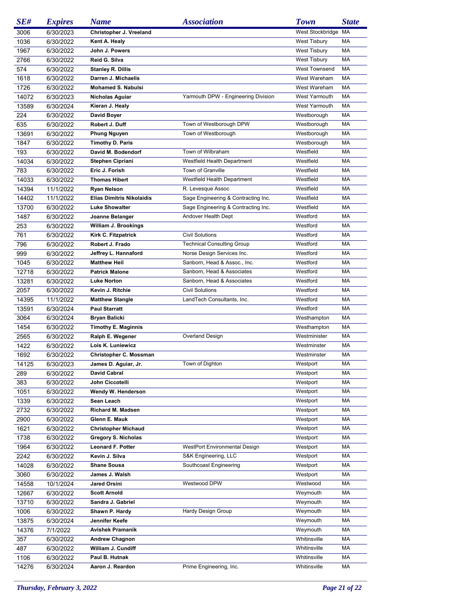| SE#   | <b>Expires</b> | <b>Name</b>                      | <b>Association</b>                  | <b>Town</b>          | <b>State</b> |
|-------|----------------|----------------------------------|-------------------------------------|----------------------|--------------|
| 3006  | 6/30/2023      | Christopher J. Vreeland          |                                     | West Stockbridge MA  |              |
| 1036  | 6/30/2022      | Kent A. Healy                    |                                     | <b>West Tisbury</b>  | MA           |
| 1967  | 6/30/2022      | John J. Powers                   |                                     | <b>West Tisbury</b>  | МA           |
| 2766  | 6/30/2022      | Reid G. Silva                    |                                     | <b>West Tisbury</b>  | МA           |
| 574   | 6/30/2022      | <b>Stanley R. Dillis</b>         |                                     | <b>West Townsend</b> | МA           |
| 1618  | 6/30/2022      | Darren J. Michaelis              |                                     | West Wareham         | MA           |
| 1726  | 6/30/2022      | <b>Mohamed S. Nabulsi</b>        |                                     | West Wareham         | MA           |
| 14072 | 6/30/2023      | Nicholas Aguiar                  | Yarmouth DPW - Engineering Division | West Yarmouth        | МA           |
| 13589 | 6/30/2024      | Kieran J. Healy                  |                                     | West Yarmouth        | MA           |
| 224   | 6/30/2022      | <b>David Boyer</b>               |                                     | Westborough          | МA           |
| 635   | 6/30/2022      | Robert J. Duff                   | Town of Westborough DPW             | Westborough          | МA           |
| 13691 | 6/30/2022      | <b>Phung Nguyen</b>              | Town of Westborough                 | Westborough          | МA           |
| 1847  | 6/30/2022      | <b>Timothy D. Paris</b>          |                                     | Westborough          | МA           |
| 193   | 6/30/2022      | David M. Bodendorf               | Town of Wilbraham                   | Westfield            | МA           |
| 14034 | 6/30/2022      | <b>Stephen Cipriani</b>          | Westfield Health Department         | Westfield            | МA           |
| 783   | 6/30/2022      | Eric J. Forish                   | Town of Granville                   | Westfield            | МA           |
| 14033 | 6/30/2022      | <b>Thomas Hibert</b>             | Westfield Health Department         | Westfield            | МA           |
| 14394 | 11/1/2022      | <b>Ryan Nelson</b>               | R. Levesque Assoc                   | Westfield            | МA           |
| 14402 | 11/1/2022      | <b>Elias Dimitris Nikolaidis</b> | Sage Engineering & Contracting Inc. | Westfield            | МA           |
| 13700 | 6/30/2022      | <b>Luke Showalter</b>            | Sage Engineering & Contracting Inc. | Westfield            | МA           |
| 1487  | 6/30/2022      | Joanne Belanger                  | Andover Health Dept                 | Westford             | МA           |
| 253   | 6/30/2022      | William J. Brookings             |                                     | Westford             | МA           |
| 761   | 6/30/2022      | Kirk C. Fitzpatrick              | <b>Civil Solutions</b>              | Westford             | МA           |
| 796   | 6/30/2022      | Robert J. Frado                  | <b>Technical Consulting Group</b>   | Westford             | МA           |
| 999   | 6/30/2022      | Jeffrey L. Hannaford             | Norse Design Services Inc.          | Westford             | МA           |
| 1045  | 6/30/2022      | <b>Matthew Heil</b>              | Sanborn, Head & Assoc., Inc.        | Westford             | МA           |
| 12718 | 6/30/2022      | <b>Patrick Malone</b>            | Sanborn, Head & Associates          | Westford             | МA           |
| 13281 | 6/30/2022      | <b>Luke Norton</b>               | Sanborn, Head & Associates          | Westford             | МA           |
| 2057  | 6/30/2022      | Kevin J. Ritchie                 | <b>Civil Solutions</b>              | Westford             | МA           |
| 14395 | 11/1/2022      | <b>Matthew Stangle</b>           | LandTech Consultants, Inc.          | Westford             | МA           |
| 13591 | 6/30/2024      | <b>Paul Starratt</b>             |                                     | Westford             | МA           |
| 3064  | 6/30/2024      | <b>Bryan Balicki</b>             |                                     | Westhampton          | МA           |
| 1454  | 6/30/2022      | <b>Timothy E. Maginnis</b>       |                                     | Westhampton          | МA           |
| 2565  | 6/30/2022      | Ralph E. Wegener                 | Overland Design                     | Westminister         | МA           |
| 1422  | 6/30/2022      | Lois K. Luniewicz                |                                     | Westminster          | МA           |
| 1692  | 6/30/2022      | Christopher C. Mossman           |                                     | Westminster          | МA           |
| 14125 | 6/30/2023      | James D. Aguiar, Jr.             | Town of Dighton                     | Westport             | MA           |
| 289   | 6/30/2022      | <b>David Cabral</b>              |                                     | Westport             | МA           |
| 383   | 6/30/2022      | John Ciccotelli                  |                                     | Westport             | МA           |
| 1051  | 6/30/2022      | Wendy W. Henderson               |                                     | Westport             | МA           |
| 1339  | 6/30/2022      | Sean Leach                       |                                     | Westport             | МA           |
| 2732  | 6/30/2022      | Richard M. Madsen                |                                     | Westport             | МA           |
| 2900  | 6/30/2022      | Glenn E. Mauk                    |                                     | Westport             | МA           |
| 1621  | 6/30/2022      | <b>Christopher Michaud</b>       |                                     | Westport             | МA           |
| 1738  | 6/30/2022      | Gregory S. Nicholas              |                                     | Westport             | МA           |
| 1964  | 6/30/2022      | Leonard F. Potter                | WestPort Environmental Design       | Westport             | МA           |
| 2242  | 6/30/2022      | Kevin J. Silva                   | S&K Engineering, LLC                | Westport             | МA           |
| 14028 | 6/30/2022      | <b>Shane Sousa</b>               | Southcoast Engineering              | Westport             | МA           |
| 3060  | 6/30/2022      | James J. Walsh                   |                                     | Westport             | МA           |
| 14558 | 10/1/2024      | Jared Orsini                     | Westwood DPW                        | Westwood             | МA           |
| 12667 | 6/30/2022      | <b>Scott Arnold</b>              |                                     | Weymouth             | МA           |
| 13710 | 6/30/2022      | Sandra J. Gabriel                |                                     | Weymouth             | МA           |
| 1006  | 6/30/2022      | Shawn P. Hardy                   | Hardy Design Group                  | Weymouth             | МA           |
| 13875 | 6/30/2024      | Jennifer Keefe                   |                                     | Weymouth             | МA           |
| 14376 | 7/1/2022       | <b>Avishek Pramanik</b>          |                                     | Weymouth             | МA           |
| 357   | 6/30/2022      | <b>Andrew Chagnon</b>            |                                     | Whitinsville         | МA           |
| 487   | 6/30/2022      | William J. Cundiff               |                                     | Whitinsville         | МA           |
| 1106  | 6/30/2022      | Paul B. Hutnak                   |                                     | Whitinsville         | МA           |
| 14276 | 6/30/2024      | Aaron J. Reardon                 | Prime Engineering, Inc.             | Whitinsville         | МA           |
|       |                |                                  |                                     |                      |              |